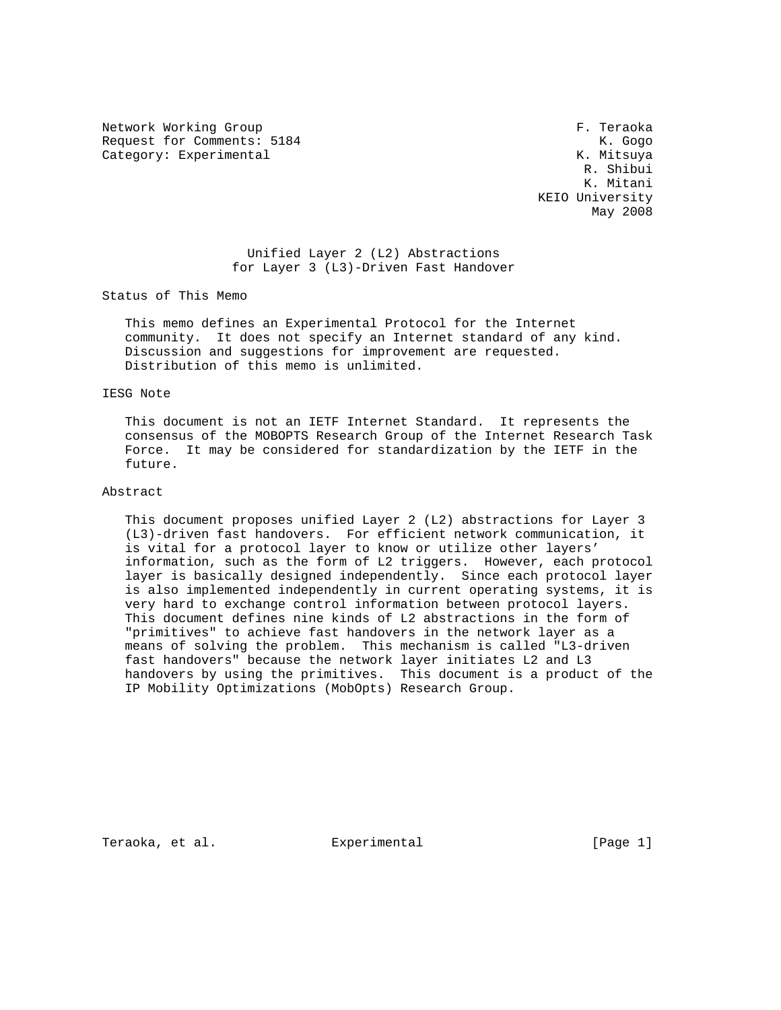Network Working Group **F. Teams** F. Teraoka Request for Comments: 5184 K. Gogo Category: Experimental and Category: Experimental Category: Experimental According Mateurs and According Mateurs and According Mateurs and According Mateurs and According Mateurs and According Mateurs and According Mateurs

 R. Shibui K. Mitani KEIO University May 2008

## Unified Layer 2 (L2) Abstractions for Layer 3 (L3)-Driven Fast Handover

Status of This Memo

 This memo defines an Experimental Protocol for the Internet community. It does not specify an Internet standard of any kind. Discussion and suggestions for improvement are requested. Distribution of this memo is unlimited.

#### IESG Note

 This document is not an IETF Internet Standard. It represents the consensus of the MOBOPTS Research Group of the Internet Research Task Force. It may be considered for standardization by the IETF in the future.

## Abstract

 This document proposes unified Layer 2 (L2) abstractions for Layer 3 (L3)-driven fast handovers. For efficient network communication, it is vital for a protocol layer to know or utilize other layers' information, such as the form of L2 triggers. However, each protocol layer is basically designed independently. Since each protocol layer is also implemented independently in current operating systems, it is very hard to exchange control information between protocol layers. This document defines nine kinds of L2 abstractions in the form of "primitives" to achieve fast handovers in the network layer as a means of solving the problem. This mechanism is called "L3-driven fast handovers" because the network layer initiates L2 and L3 handovers by using the primitives. This document is a product of the IP Mobility Optimizations (MobOpts) Research Group.

Teraoka, et al. Experimental [Page 1]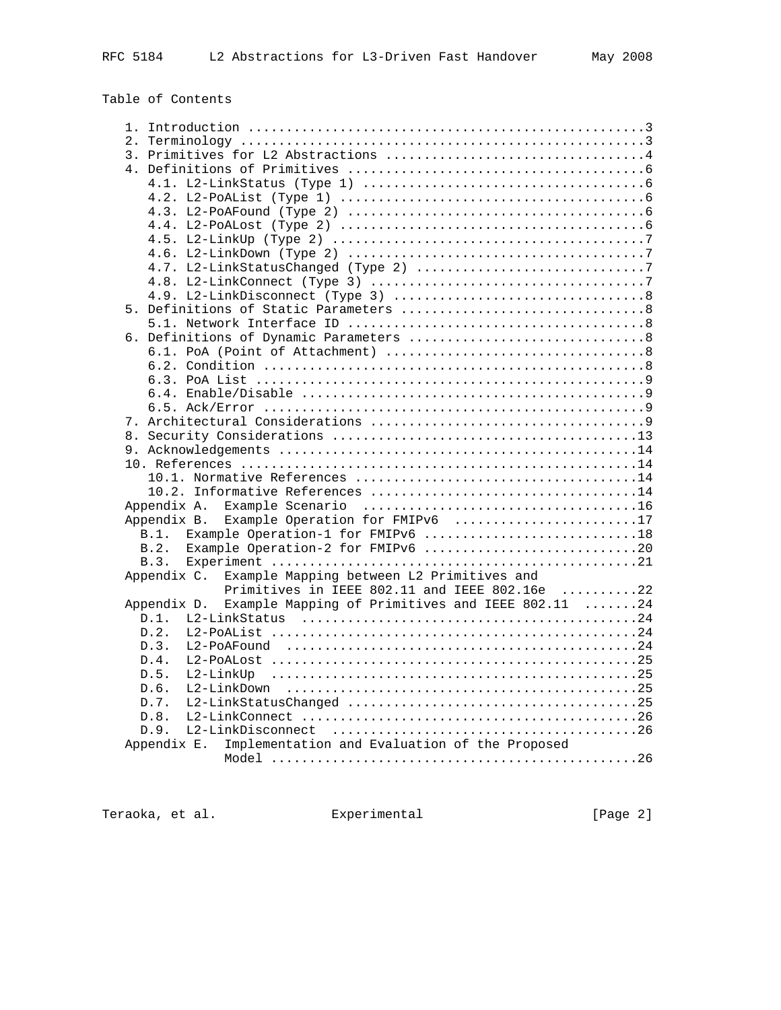Table of Contents

| 2.                                                                                                |
|---------------------------------------------------------------------------------------------------|
|                                                                                                   |
|                                                                                                   |
|                                                                                                   |
|                                                                                                   |
|                                                                                                   |
|                                                                                                   |
|                                                                                                   |
|                                                                                                   |
|                                                                                                   |
|                                                                                                   |
|                                                                                                   |
|                                                                                                   |
|                                                                                                   |
|                                                                                                   |
|                                                                                                   |
|                                                                                                   |
|                                                                                                   |
|                                                                                                   |
|                                                                                                   |
|                                                                                                   |
|                                                                                                   |
|                                                                                                   |
|                                                                                                   |
|                                                                                                   |
|                                                                                                   |
|                                                                                                   |
|                                                                                                   |
| Example Operation for FMIPv6 17<br>Appendix B.<br>B.1. Example Operation-1 for FMIPv6 18          |
| Example Operation-2 for FMIPv6 20<br>B.2.                                                         |
|                                                                                                   |
|                                                                                                   |
| Appendix C. Example Mapping between L2 Primitives and                                             |
| Primitives in IEEE 802.11 and IEEE 802.16e 22<br>Example Mapping of Primitives and IEEE 802.11 24 |
| Appendix D.                                                                                       |
| D.1.                                                                                              |
| D.2.                                                                                              |
| D.3.                                                                                              |
| D.4.                                                                                              |
| D.5.                                                                                              |
| D.6.                                                                                              |
| D.7.                                                                                              |
| D.8.                                                                                              |
| D.9.                                                                                              |
| Implementation and Evaluation of the Proposed<br>Appendix E.                                      |
|                                                                                                   |

Teraoka, et al. **Experimental** [Page 2]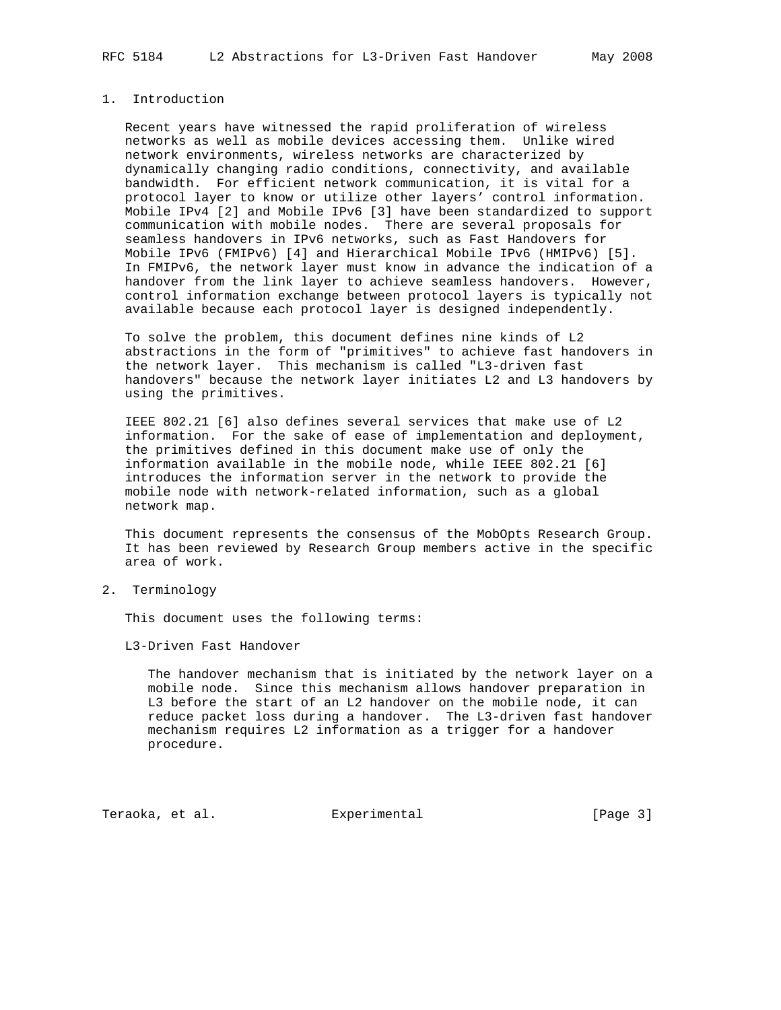# 1. Introduction

 Recent years have witnessed the rapid proliferation of wireless networks as well as mobile devices accessing them. Unlike wired network environments, wireless networks are characterized by dynamically changing radio conditions, connectivity, and available bandwidth. For efficient network communication, it is vital for a protocol layer to know or utilize other layers' control information. Mobile IPv4 [2] and Mobile IPv6 [3] have been standardized to support communication with mobile nodes. There are several proposals for seamless handovers in IPv6 networks, such as Fast Handovers for Mobile IPv6 (FMIPv6) [4] and Hierarchical Mobile IPv6 (HMIPv6) [5]. In FMIPv6, the network layer must know in advance the indication of a handover from the link layer to achieve seamless handovers. However, control information exchange between protocol layers is typically not available because each protocol layer is designed independently.

 To solve the problem, this document defines nine kinds of L2 abstractions in the form of "primitives" to achieve fast handovers in the network layer. This mechanism is called "L3-driven fast handovers" because the network layer initiates L2 and L3 handovers by using the primitives.

 IEEE 802.21 [6] also defines several services that make use of L2 information. For the sake of ease of implementation and deployment, the primitives defined in this document make use of only the information available in the mobile node, while IEEE 802.21 [6] introduces the information server in the network to provide the mobile node with network-related information, such as a global network map.

 This document represents the consensus of the MobOpts Research Group. It has been reviewed by Research Group members active in the specific area of work.

2. Terminology

This document uses the following terms:

L3-Driven Fast Handover

 The handover mechanism that is initiated by the network layer on a mobile node. Since this mechanism allows handover preparation in L3 before the start of an L2 handover on the mobile node, it can reduce packet loss during a handover. The L3-driven fast handover mechanism requires L2 information as a trigger for a handover procedure.

Teraoka, et al. Experimental [Page 3]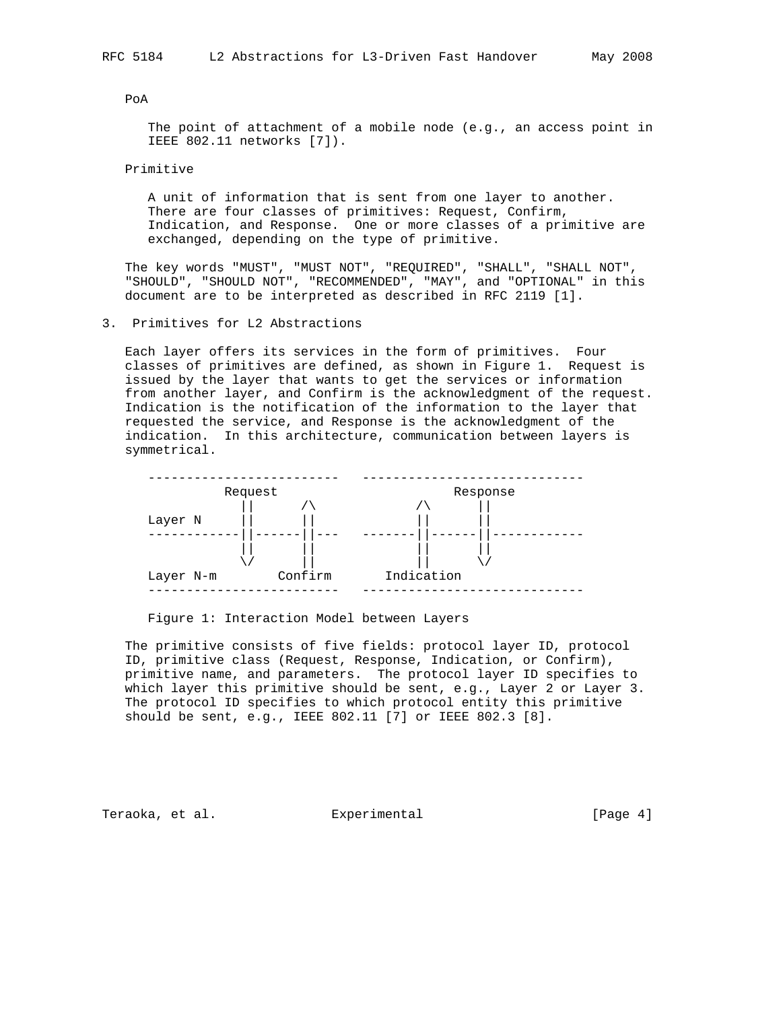PoA

 The point of attachment of a mobile node (e.g., an access point in IEEE 802.11 networks [7]).

Primitive

 A unit of information that is sent from one layer to another. There are four classes of primitives: Request, Confirm, Indication, and Response. One or more classes of a primitive are exchanged, depending on the type of primitive.

 The key words "MUST", "MUST NOT", "REQUIRED", "SHALL", "SHALL NOT", "SHOULD", "SHOULD NOT", "RECOMMENDED", "MAY", and "OPTIONAL" in this document are to be interpreted as described in RFC 2119 [1].

3. Primitives for L2 Abstractions

 Each layer offers its services in the form of primitives. Four classes of primitives are defined, as shown in Figure 1. Request is issued by the layer that wants to get the services or information from another layer, and Confirm is the acknowledgment of the request. Indication is the notification of the information to the layer that requested the service, and Response is the acknowledgment of the indication. In this architecture, communication between layers is symmetrical.



Figure 1: Interaction Model between Layers

 The primitive consists of five fields: protocol layer ID, protocol ID, primitive class (Request, Response, Indication, or Confirm), primitive name, and parameters. The protocol layer ID specifies to which layer this primitive should be sent, e.g., Layer 2 or Layer 3. The protocol ID specifies to which protocol entity this primitive should be sent, e.g., IEEE 802.11 [7] or IEEE 802.3 [8].

Teraoka, et al. Experimental [Page 4]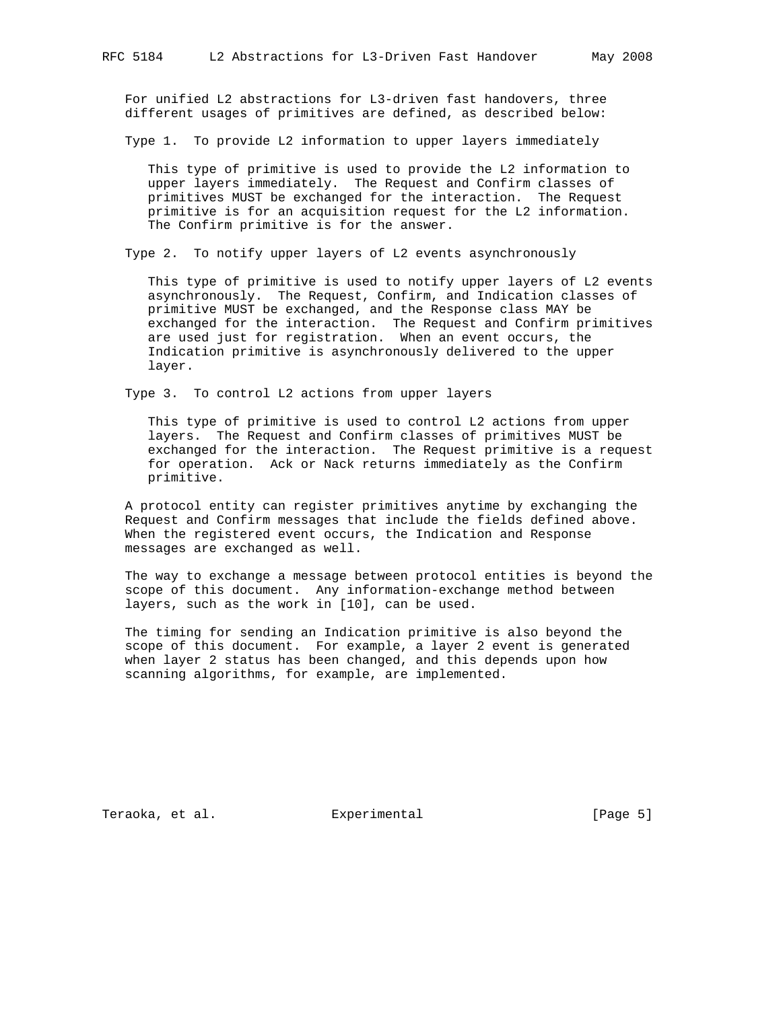For unified L2 abstractions for L3-driven fast handovers, three different usages of primitives are defined, as described below:

Type 1. To provide L2 information to upper layers immediately

 This type of primitive is used to provide the L2 information to upper layers immediately. The Request and Confirm classes of primitives MUST be exchanged for the interaction. The Request primitive is for an acquisition request for the L2 information. The Confirm primitive is for the answer.

Type 2. To notify upper layers of L2 events asynchronously

 This type of primitive is used to notify upper layers of L2 events asynchronously. The Request, Confirm, and Indication classes of primitive MUST be exchanged, and the Response class MAY be exchanged for the interaction. The Request and Confirm primitives are used just for registration. When an event occurs, the Indication primitive is asynchronously delivered to the upper layer.

Type 3. To control L2 actions from upper layers

 This type of primitive is used to control L2 actions from upper layers. The Request and Confirm classes of primitives MUST be exchanged for the interaction. The Request primitive is a request for operation. Ack or Nack returns immediately as the Confirm primitive.

 A protocol entity can register primitives anytime by exchanging the Request and Confirm messages that include the fields defined above. When the registered event occurs, the Indication and Response messages are exchanged as well.

 The way to exchange a message between protocol entities is beyond the scope of this document. Any information-exchange method between layers, such as the work in [10], can be used.

 The timing for sending an Indication primitive is also beyond the scope of this document. For example, a layer 2 event is generated when layer 2 status has been changed, and this depends upon how scanning algorithms, for example, are implemented.

Teraoka, et al. Experimental [Page 5]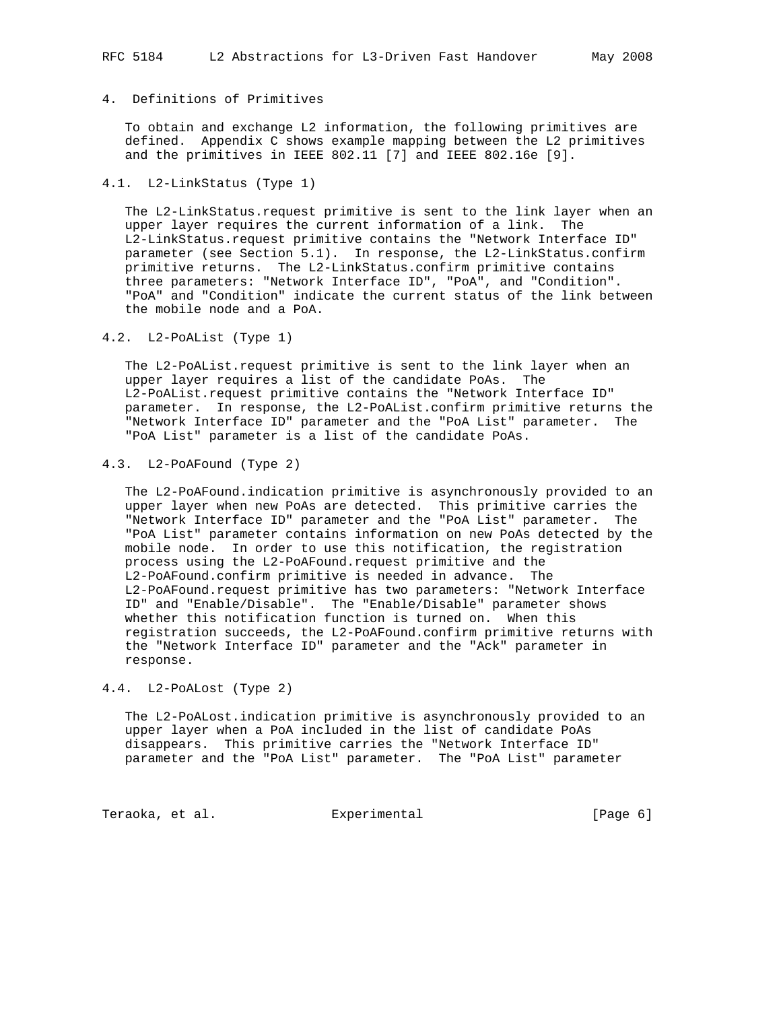## 4. Definitions of Primitives

 To obtain and exchange L2 information, the following primitives are defined. Appendix C shows example mapping between the L2 primitives and the primitives in IEEE 802.11 [7] and IEEE 802.16e [9].

#### 4.1. L2-LinkStatus (Type 1)

 The L2-LinkStatus.request primitive is sent to the link layer when an upper layer requires the current information of a link. The L2-LinkStatus.request primitive contains the "Network Interface ID" parameter (see Section 5.1). In response, the L2-LinkStatus.confirm primitive returns. The L2-LinkStatus.confirm primitive contains three parameters: "Network Interface ID", "PoA", and "Condition". "PoA" and "Condition" indicate the current status of the link between the mobile node and a PoA.

4.2. L2-PoAList (Type 1)

 The L2-PoAList.request primitive is sent to the link layer when an upper layer requires a list of the candidate PoAs. The L2-PoAList.request primitive contains the "Network Interface ID" parameter. In response, the L2-PoAList.confirm primitive returns the "Network Interface ID" parameter and the "PoA List" parameter. The "PoA List" parameter is a list of the candidate PoAs.

# 4.3. L2-PoAFound (Type 2)

 The L2-PoAFound.indication primitive is asynchronously provided to an upper layer when new PoAs are detected. This primitive carries the "Network Interface ID" parameter and the "PoA List" parameter. The "PoA List" parameter contains information on new PoAs detected by the mobile node. In order to use this notification, the registration process using the L2-PoAFound.request primitive and the L2-PoAFound.confirm primitive is needed in advance. The L2-PoAFound.request primitive has two parameters: "Network Interface ID" and "Enable/Disable". The "Enable/Disable" parameter shows whether this notification function is turned on. When this registration succeeds, the L2-PoAFound.confirm primitive returns with the "Network Interface ID" parameter and the "Ack" parameter in response.

#### 4.4. L2-PoALost (Type 2)

 The L2-PoALost.indication primitive is asynchronously provided to an upper layer when a PoA included in the list of candidate PoAs disappears. This primitive carries the "Network Interface ID" parameter and the "PoA List" parameter. The "PoA List" parameter

Teraoka, et al. Suite Experimental Services (Page 6)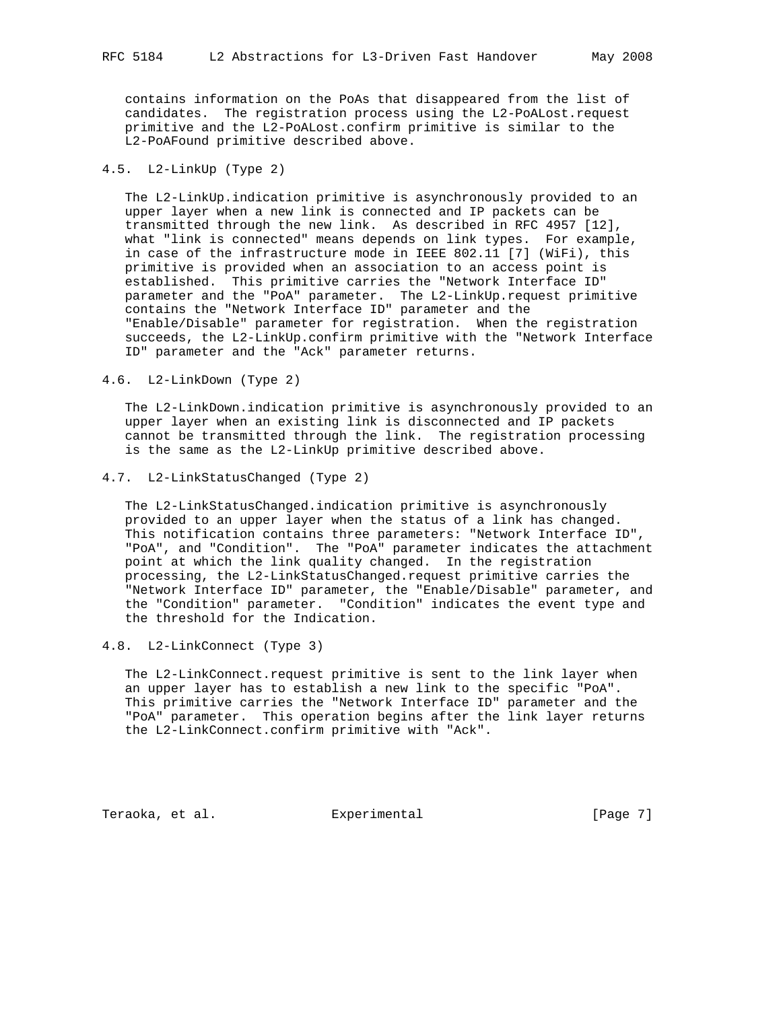contains information on the PoAs that disappeared from the list of candidates. The registration process using the L2-PoALost.request primitive and the L2-PoALost.confirm primitive is similar to the L2-PoAFound primitive described above.

## 4.5. L2-LinkUp (Type 2)

 The L2-LinkUp.indication primitive is asynchronously provided to an upper layer when a new link is connected and IP packets can be transmitted through the new link. As described in RFC 4957 [12], what "link is connected" means depends on link types. For example, in case of the infrastructure mode in IEEE 802.11 [7] (WiFi), this primitive is provided when an association to an access point is established. This primitive carries the "Network Interface ID" parameter and the "PoA" parameter. The L2-LinkUp.request primitive contains the "Network Interface ID" parameter and the "Enable/Disable" parameter for registration. When the registration succeeds, the L2-LinkUp.confirm primitive with the "Network Interface ID" parameter and the "Ack" parameter returns.

4.6. L2-LinkDown (Type 2)

 The L2-LinkDown.indication primitive is asynchronously provided to an upper layer when an existing link is disconnected and IP packets cannot be transmitted through the link. The registration processing is the same as the L2-LinkUp primitive described above.

4.7. L2-LinkStatusChanged (Type 2)

 The L2-LinkStatusChanged.indication primitive is asynchronously provided to an upper layer when the status of a link has changed. This notification contains three parameters: "Network Interface ID", "PoA", and "Condition". The "PoA" parameter indicates the attachment point at which the link quality changed. In the registration processing, the L2-LinkStatusChanged.request primitive carries the "Network Interface ID" parameter, the "Enable/Disable" parameter, and the "Condition" parameter. "Condition" indicates the event type and the threshold for the Indication.

4.8. L2-LinkConnect (Type 3)

 The L2-LinkConnect.request primitive is sent to the link layer when an upper layer has to establish a new link to the specific "PoA". This primitive carries the "Network Interface ID" parameter and the "PoA" parameter. This operation begins after the link layer returns the L2-LinkConnect.confirm primitive with "Ack".

Teraoka, et al. Experimental [Page 7]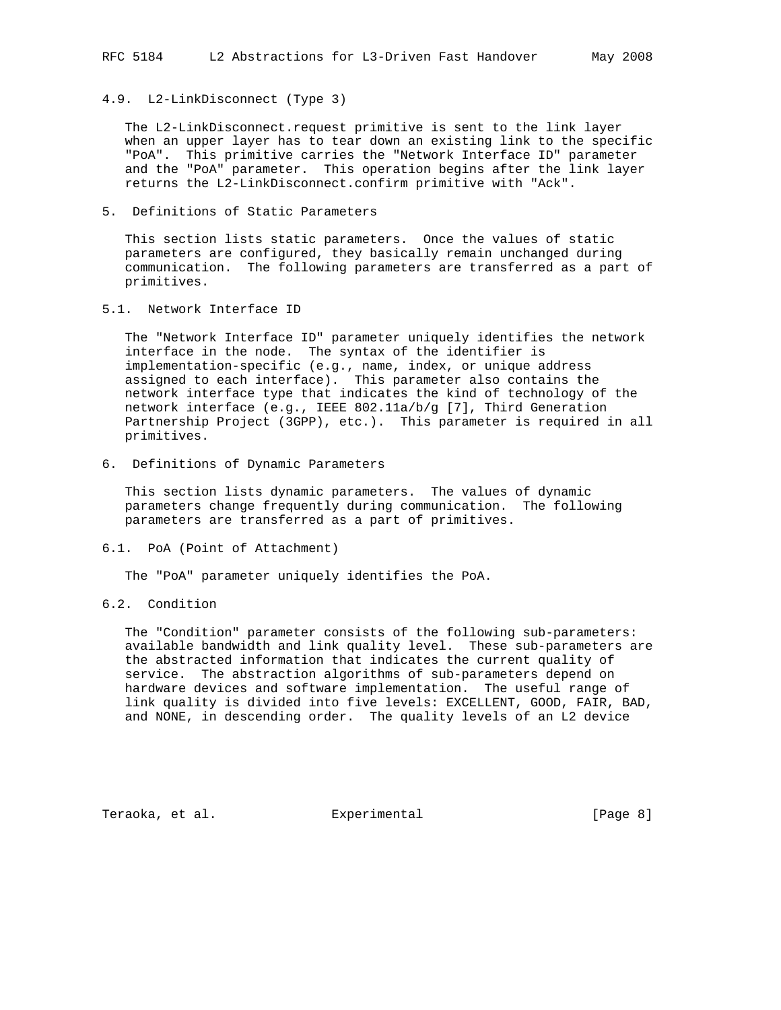4.9. L2-LinkDisconnect (Type 3)

 The L2-LinkDisconnect.request primitive is sent to the link layer when an upper layer has to tear down an existing link to the specific "PoA". This primitive carries the "Network Interface ID" parameter and the "PoA" parameter. This operation begins after the link layer returns the L2-LinkDisconnect.confirm primitive with "Ack".

5. Definitions of Static Parameters

 This section lists static parameters. Once the values of static parameters are configured, they basically remain unchanged during communication. The following parameters are transferred as a part of primitives.

5.1. Network Interface ID

 The "Network Interface ID" parameter uniquely identifies the network interface in the node. The syntax of the identifier is implementation-specific (e.g., name, index, or unique address assigned to each interface). This parameter also contains the network interface type that indicates the kind of technology of the network interface (e.g., IEEE 802.11a/b/g [7], Third Generation Partnership Project (3GPP), etc.). This parameter is required in all primitives.

6. Definitions of Dynamic Parameters

 This section lists dynamic parameters. The values of dynamic parameters change frequently during communication. The following parameters are transferred as a part of primitives.

6.1. PoA (Point of Attachment)

The "PoA" parameter uniquely identifies the PoA.

## 6.2. Condition

 The "Condition" parameter consists of the following sub-parameters: available bandwidth and link quality level. These sub-parameters are the abstracted information that indicates the current quality of service. The abstraction algorithms of sub-parameters depend on hardware devices and software implementation. The useful range of link quality is divided into five levels: EXCELLENT, GOOD, FAIR, BAD, and NONE, in descending order. The quality levels of an L2 device

Teraoka, et al. Experimental [Page 8]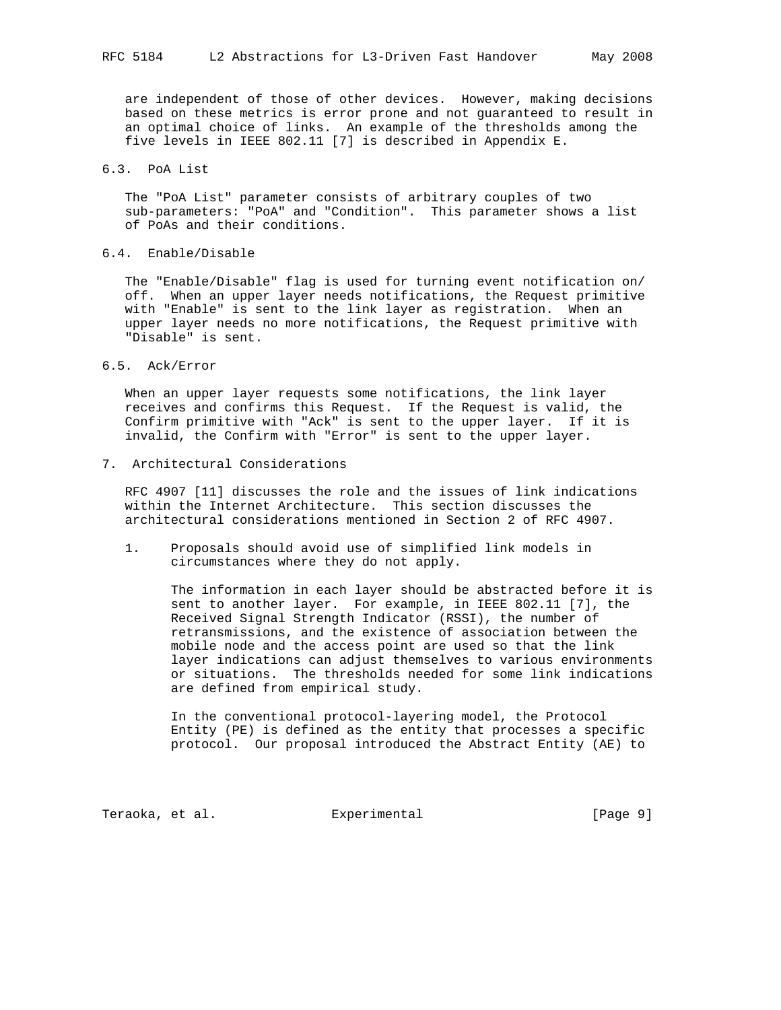are independent of those of other devices. However, making decisions based on these metrics is error prone and not guaranteed to result in an optimal choice of links. An example of the thresholds among the five levels in IEEE 802.11 [7] is described in Appendix E.

6.3. PoA List

 The "PoA List" parameter consists of arbitrary couples of two sub-parameters: "PoA" and "Condition". This parameter shows a list of PoAs and their conditions.

6.4. Enable/Disable

 The "Enable/Disable" flag is used for turning event notification on/ off. When an upper layer needs notifications, the Request primitive with "Enable" is sent to the link layer as registration. When an upper layer needs no more notifications, the Request primitive with "Disable" is sent.

6.5. Ack/Error

 When an upper layer requests some notifications, the link layer receives and confirms this Request. If the Request is valid, the Confirm primitive with "Ack" is sent to the upper layer. If it is invalid, the Confirm with "Error" is sent to the upper layer.

7. Architectural Considerations

 RFC 4907 [11] discusses the role and the issues of link indications within the Internet Architecture. This section discusses the architectural considerations mentioned in Section 2 of RFC 4907.

 1. Proposals should avoid use of simplified link models in circumstances where they do not apply.

 The information in each layer should be abstracted before it is sent to another layer. For example, in IEEE 802.11 [7], the Received Signal Strength Indicator (RSSI), the number of retransmissions, and the existence of association between the mobile node and the access point are used so that the link layer indications can adjust themselves to various environments or situations. The thresholds needed for some link indications are defined from empirical study.

 In the conventional protocol-layering model, the Protocol Entity (PE) is defined as the entity that processes a specific protocol. Our proposal introduced the Abstract Entity (AE) to

Teraoka, et al. Suite Experimental Services (Page 9)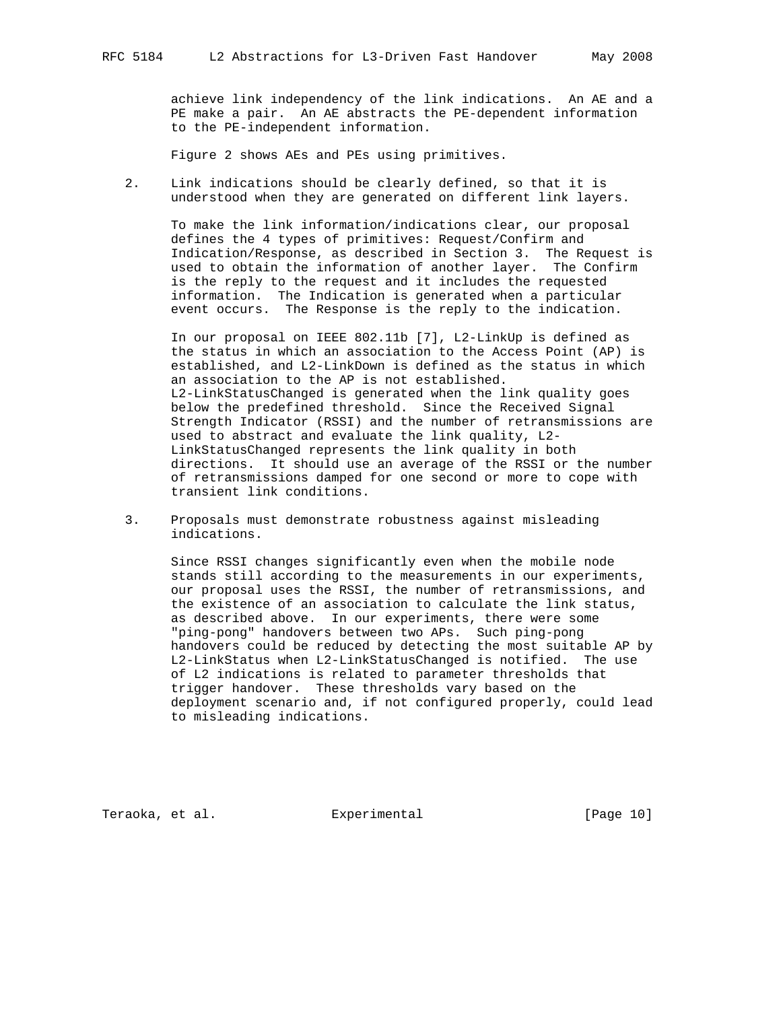achieve link independency of the link indications. An AE and a PE make a pair. An AE abstracts the PE-dependent information to the PE-independent information.

Figure 2 shows AEs and PEs using primitives.

 2. Link indications should be clearly defined, so that it is understood when they are generated on different link layers.

 To make the link information/indications clear, our proposal defines the 4 types of primitives: Request/Confirm and Indication/Response, as described in Section 3. The Request is used to obtain the information of another layer. The Confirm is the reply to the request and it includes the requested information. The Indication is generated when a particular event occurs. The Response is the reply to the indication.

> In our proposal on IEEE 802.11b [7], L2-LinkUp is defined as the status in which an association to the Access Point (AP) is established, and L2-LinkDown is defined as the status in which an association to the AP is not established. L2-LinkStatusChanged is generated when the link quality goes below the predefined threshold. Since the Received Signal Strength Indicator (RSSI) and the number of retransmissions are used to abstract and evaluate the link quality, L2- LinkStatusChanged represents the link quality in both directions. It should use an average of the RSSI or the number of retransmissions damped for one second or more to cope with transient link conditions.

 3. Proposals must demonstrate robustness against misleading indications.

 Since RSSI changes significantly even when the mobile node stands still according to the measurements in our experiments, our proposal uses the RSSI, the number of retransmissions, and the existence of an association to calculate the link status, as described above. In our experiments, there were some "ping-pong" handovers between two APs. Such ping-pong handovers could be reduced by detecting the most suitable AP by L2-LinkStatus when L2-LinkStatusChanged is notified. The use of L2 indications is related to parameter thresholds that trigger handover. These thresholds vary based on the deployment scenario and, if not configured properly, could lead to misleading indications.

Teraoka, et al. Experimental [Page 10]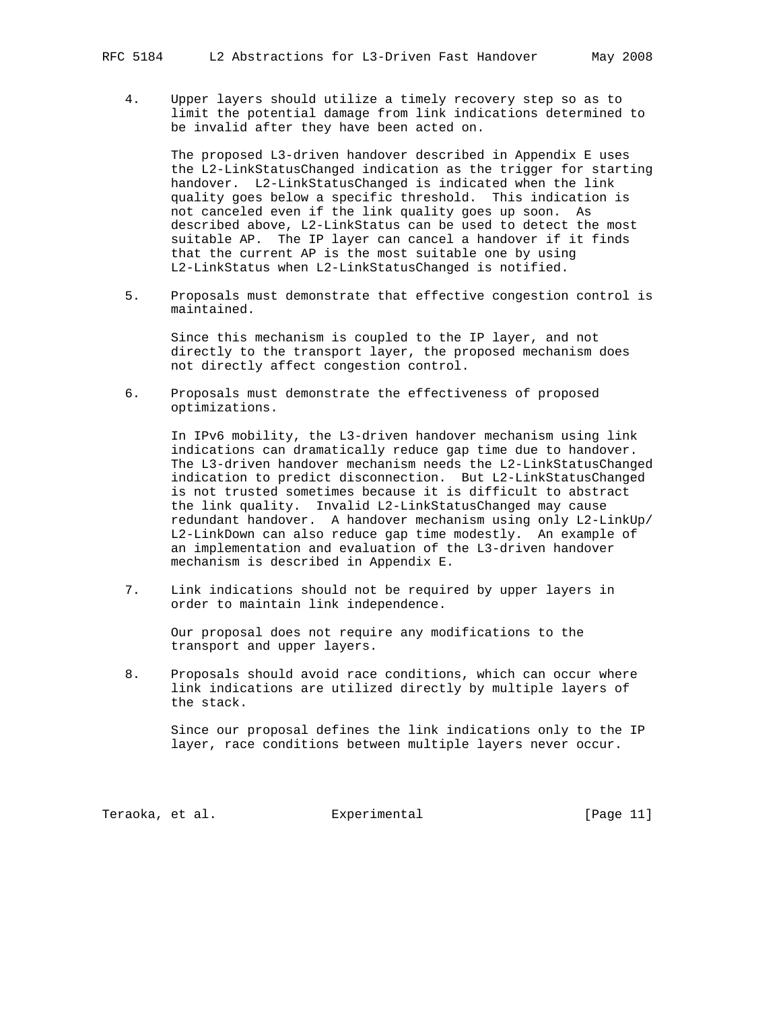4. Upper layers should utilize a timely recovery step so as to limit the potential damage from link indications determined to be invalid after they have been acted on.

 The proposed L3-driven handover described in Appendix E uses the L2-LinkStatusChanged indication as the trigger for starting handover. L2-LinkStatusChanged is indicated when the link quality goes below a specific threshold. This indication is not canceled even if the link quality goes up soon. As described above, L2-LinkStatus can be used to detect the most suitable AP. The IP layer can cancel a handover if it finds that the current AP is the most suitable one by using L2-LinkStatus when L2-LinkStatusChanged is notified.

 5. Proposals must demonstrate that effective congestion control is maintained.

 Since this mechanism is coupled to the IP layer, and not directly to the transport layer, the proposed mechanism does not directly affect congestion control.

 6. Proposals must demonstrate the effectiveness of proposed optimizations.

 In IPv6 mobility, the L3-driven handover mechanism using link indications can dramatically reduce gap time due to handover. The L3-driven handover mechanism needs the L2-LinkStatusChanged indication to predict disconnection. But L2-LinkStatusChanged is not trusted sometimes because it is difficult to abstract the link quality. Invalid L2-LinkStatusChanged may cause redundant handover. A handover mechanism using only L2-LinkUp/ L2-LinkDown can also reduce gap time modestly. An example of an implementation and evaluation of the L3-driven handover mechanism is described in Appendix E.

 7. Link indications should not be required by upper layers in order to maintain link independence.

 Our proposal does not require any modifications to the transport and upper layers.

 8. Proposals should avoid race conditions, which can occur where link indications are utilized directly by multiple layers of the stack.

 Since our proposal defines the link indications only to the IP layer, race conditions between multiple layers never occur.

Teraoka, et al. Experimental [Page 11]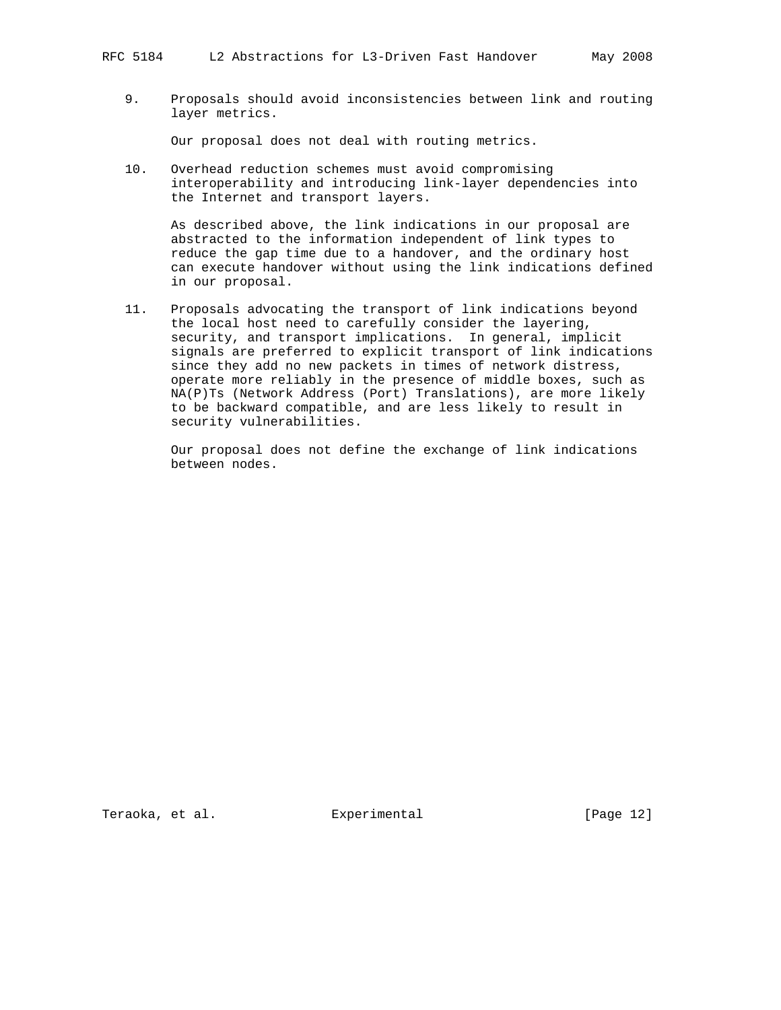9. Proposals should avoid inconsistencies between link and routing layer metrics.

Our proposal does not deal with routing metrics.

 10. Overhead reduction schemes must avoid compromising interoperability and introducing link-layer dependencies into the Internet and transport layers.

 As described above, the link indications in our proposal are abstracted to the information independent of link types to reduce the gap time due to a handover, and the ordinary host can execute handover without using the link indications defined in our proposal.

 11. Proposals advocating the transport of link indications beyond the local host need to carefully consider the layering, security, and transport implications. In general, implicit signals are preferred to explicit transport of link indications since they add no new packets in times of network distress, operate more reliably in the presence of middle boxes, such as NA(P)Ts (Network Address (Port) Translations), are more likely to be backward compatible, and are less likely to result in security vulnerabilities.

 Our proposal does not define the exchange of link indications between nodes.

Teraoka, et al. Experimental [Page 12]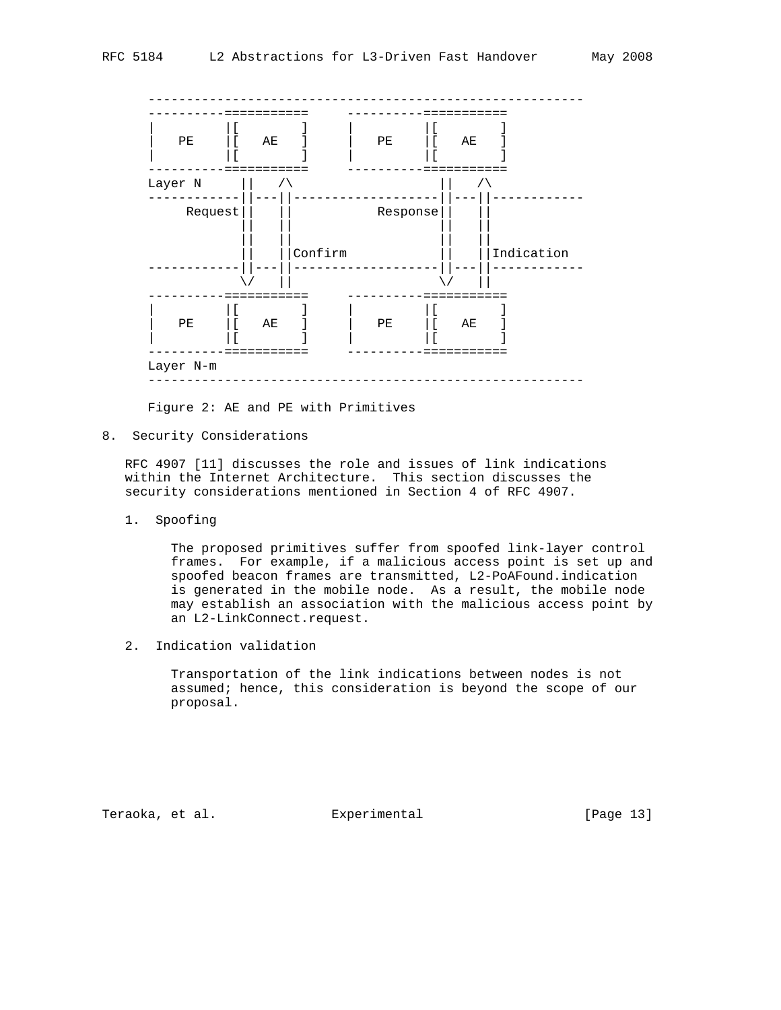

Figure 2: AE and PE with Primitives

8. Security Considerations

 RFC 4907 [11] discusses the role and issues of link indications within the Internet Architecture. This section discusses the security considerations mentioned in Section 4 of RFC 4907.

1. Spoofing

 The proposed primitives suffer from spoofed link-layer control frames. For example, if a malicious access point is set up and spoofed beacon frames are transmitted, L2-PoAFound.indication is generated in the mobile node. As a result, the mobile node may establish an association with the malicious access point by an L2-LinkConnect.request.

2. Indication validation

 Transportation of the link indications between nodes is not assumed; hence, this consideration is beyond the scope of our proposal.

Teraoka, et al. Suite Experimental Experimental [Page 13]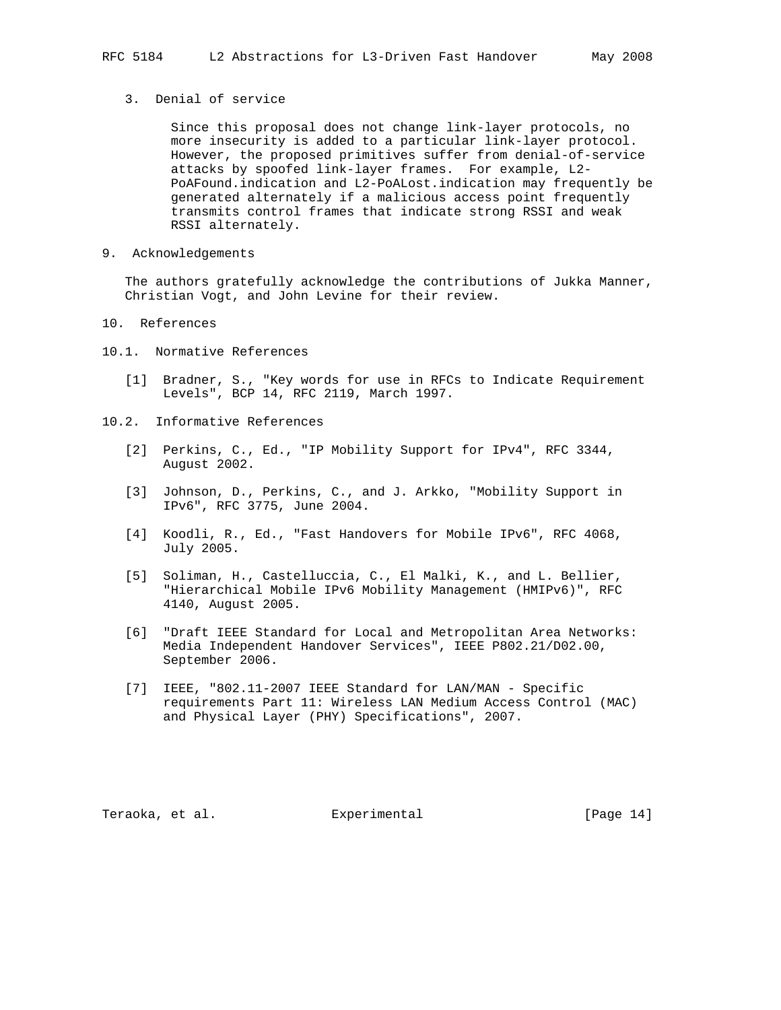## 3. Denial of service

 Since this proposal does not change link-layer protocols, no more insecurity is added to a particular link-layer protocol. However, the proposed primitives suffer from denial-of-service attacks by spoofed link-layer frames. For example, L2- PoAFound.indication and L2-PoALost.indication may frequently be generated alternately if a malicious access point frequently transmits control frames that indicate strong RSSI and weak RSSI alternately.

9. Acknowledgements

 The authors gratefully acknowledge the contributions of Jukka Manner, Christian Vogt, and John Levine for their review.

- 10. References
- 10.1. Normative References
	- [1] Bradner, S., "Key words for use in RFCs to Indicate Requirement Levels", BCP 14, RFC 2119, March 1997.
- 10.2. Informative References
	- [2] Perkins, C., Ed., "IP Mobility Support for IPv4", RFC 3344, August 2002.
	- [3] Johnson, D., Perkins, C., and J. Arkko, "Mobility Support in IPv6", RFC 3775, June 2004.
	- [4] Koodli, R., Ed., "Fast Handovers for Mobile IPv6", RFC 4068, July 2005.
	- [5] Soliman, H., Castelluccia, C., El Malki, K., and L. Bellier, "Hierarchical Mobile IPv6 Mobility Management (HMIPv6)", RFC 4140, August 2005.
	- [6] "Draft IEEE Standard for Local and Metropolitan Area Networks: Media Independent Handover Services", IEEE P802.21/D02.00, September 2006.
	- [7] IEEE, "802.11-2007 IEEE Standard for LAN/MAN Specific requirements Part 11: Wireless LAN Medium Access Control (MAC) and Physical Layer (PHY) Specifications", 2007.

Teraoka, et al. Experimental [Page 14]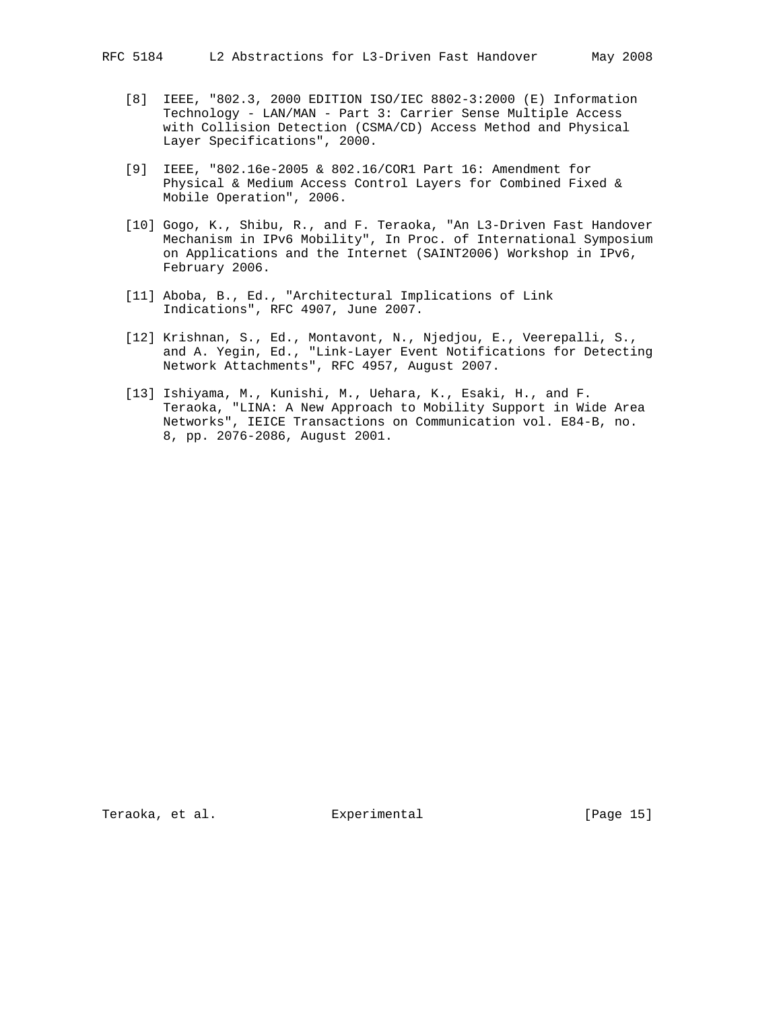- [8] IEEE, "802.3, 2000 EDITION ISO/IEC 8802-3:2000 (E) Information Technology - LAN/MAN - Part 3: Carrier Sense Multiple Access with Collision Detection (CSMA/CD) Access Method and Physical Layer Specifications", 2000.
- [9] IEEE, "802.16e-2005 & 802.16/COR1 Part 16: Amendment for Physical & Medium Access Control Layers for Combined Fixed & Mobile Operation", 2006.
- [10] Gogo, K., Shibu, R., and F. Teraoka, "An L3-Driven Fast Handover Mechanism in IPv6 Mobility", In Proc. of International Symposium on Applications and the Internet (SAINT2006) Workshop in IPv6, February 2006.
- [11] Aboba, B., Ed., "Architectural Implications of Link Indications", RFC 4907, June 2007.
- [12] Krishnan, S., Ed., Montavont, N., Njedjou, E., Veerepalli, S., and A. Yegin, Ed., "Link-Layer Event Notifications for Detecting Network Attachments", RFC 4957, August 2007.
- [13] Ishiyama, M., Kunishi, M., Uehara, K., Esaki, H., and F. Teraoka, "LINA: A New Approach to Mobility Support in Wide Area Networks", IEICE Transactions on Communication vol. E84-B, no. 8, pp. 2076-2086, August 2001.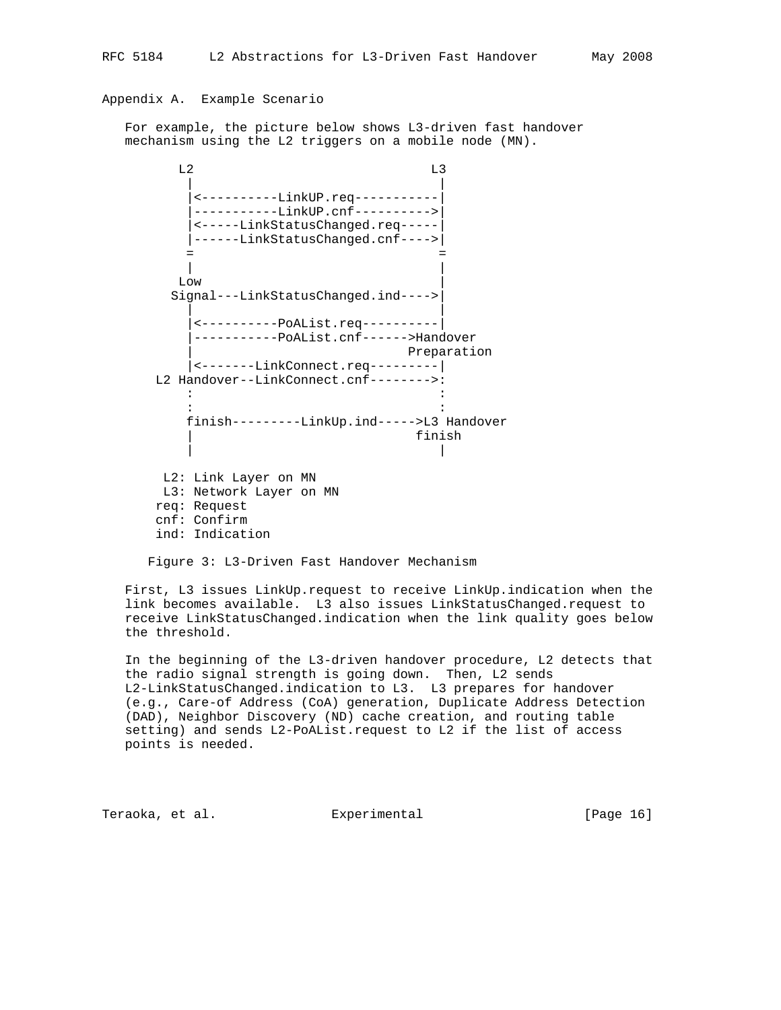# Appendix A. Example Scenario

 For example, the picture below shows L3-driven fast handover mechanism using the L2 triggers on a mobile node (MN).

L<sub>2</sub> L<sub>3</sub> | | |<----------LinkUP.req-----------| |-----------LinkUP.cnf---------->| |<-----LinkStatusChanged.req-----| |------LinkStatusChanged.cnf---->| = = | |  $Low$  Signal---LinkStatusChanged.ind---->| | | |<----------PoAList.req----------| |-----------PoAList.cnf------>Handover Preparation |<-------LinkConnect.req---------| L2 Handover--LinkConnect.cnf-------->: the state of the state of the state of the state of the state of the state of the the state of the state of the state of the state of the state of the state of the finish---------LinkUp.ind----->L3 Handover | finish | | L2: Link Layer on MN L3: Network Layer on MN req: Request cnf: Confirm ind: Indication

Figure 3: L3-Driven Fast Handover Mechanism

 First, L3 issues LinkUp.request to receive LinkUp.indication when the link becomes available. L3 also issues LinkStatusChanged.request to receive LinkStatusChanged.indication when the link quality goes below the threshold.

 In the beginning of the L3-driven handover procedure, L2 detects that the radio signal strength is going down. Then, L2 sends L2-LinkStatusChanged.indication to L3. L3 prepares for handover (e.g., Care-of Address (CoA) generation, Duplicate Address Detection (DAD), Neighbor Discovery (ND) cache creation, and routing table setting) and sends L2-PoAList.request to L2 if the list of access points is needed.

Teraoka, et al. Experimental [Page 16]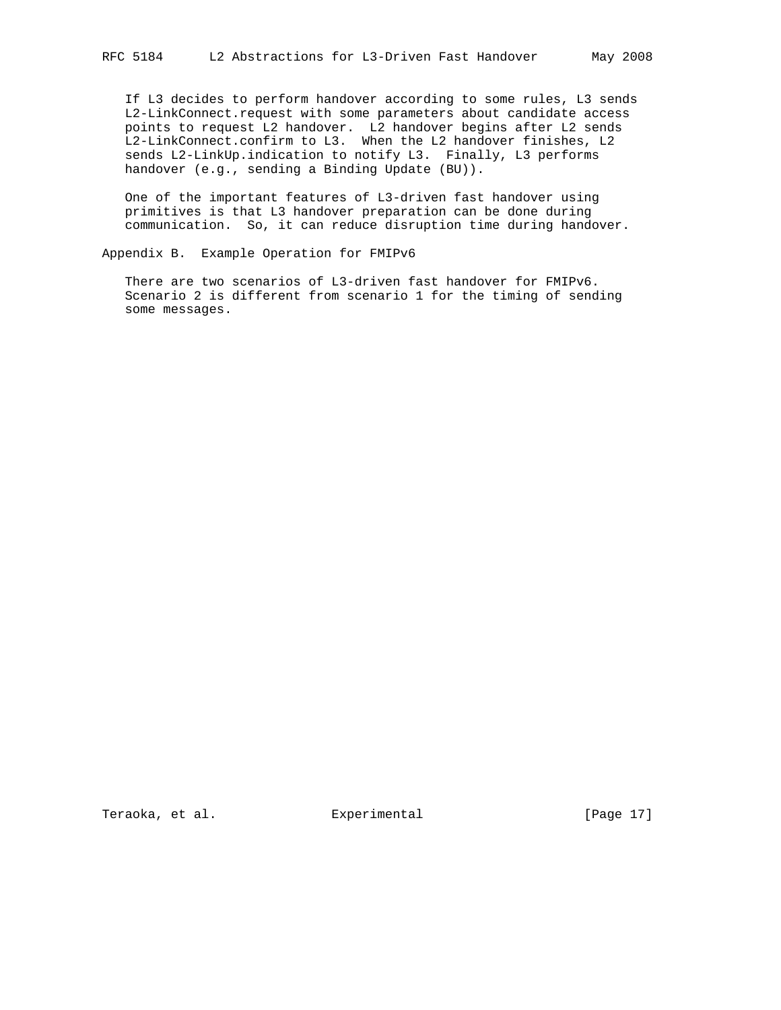If L3 decides to perform handover according to some rules, L3 sends L2-LinkConnect.request with some parameters about candidate access points to request L2 handover. L2 handover begins after L2 sends L2-LinkConnect.confirm to L3. When the L2 handover finishes, L2 sends L2-LinkUp.indication to notify L3. Finally, L3 performs handover (e.g., sending a Binding Update (BU)).

 One of the important features of L3-driven fast handover using primitives is that L3 handover preparation can be done during communication. So, it can reduce disruption time during handover.

Appendix B. Example Operation for FMIPv6

 There are two scenarios of L3-driven fast handover for FMIPv6. Scenario 2 is different from scenario 1 for the timing of sending some messages.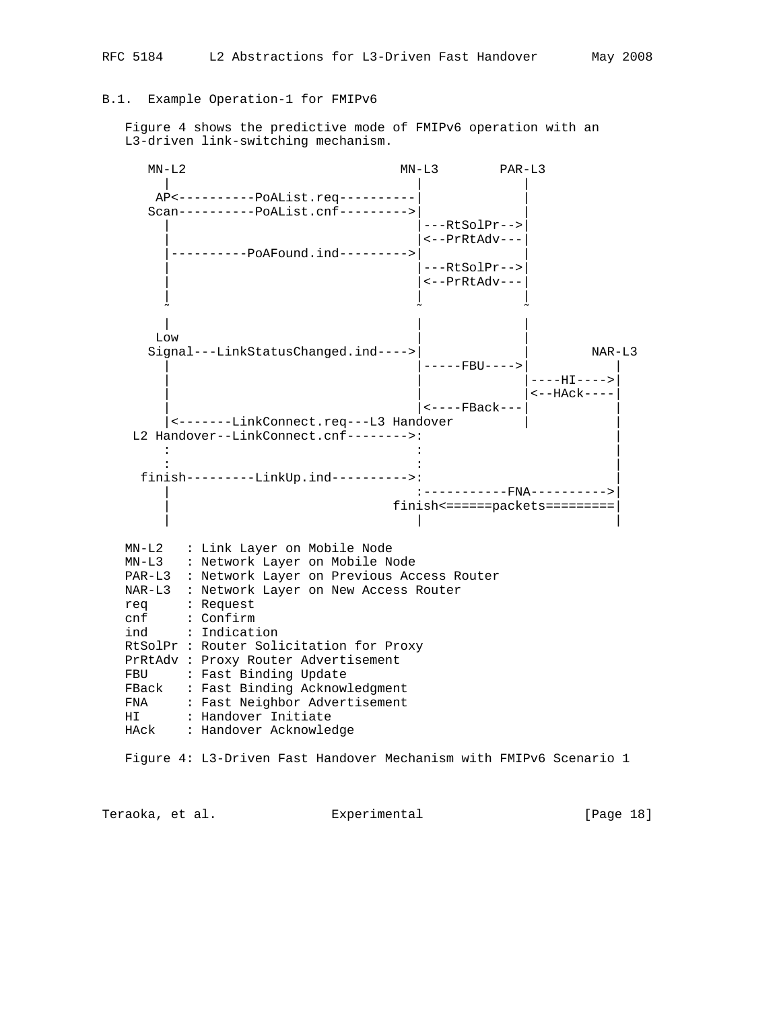## B.1. Example Operation-1 for FMIPv6

 Figure 4 shows the predictive mode of FMIPv6 operation with an L3-driven link-switching mechanism.

 MN-L2 MN-L3 PAR-L3 | | | AP<----------PoAList.req----------| | Scan----------PoAList.cnf--------->| | |---RtSolPr--> |<--PrRtAdv--- |----------PoAFound.ind--------->| |  $|---RtSolPr--|$ |<--PrRtAdv--- | | | ˜ ˜ ˜ | | |  $\mathbb{L}\textup{ow}$  |  $\qquad \qquad$  |  $\qquad \qquad$  |  $\qquad \qquad$  |  $\qquad \qquad$  |  $\qquad \qquad$  |  $\qquad \qquad$  |  $\qquad \qquad$  |  $\qquad \qquad$  |  $\qquad \qquad$  |  $\qquad \qquad$  |  $\qquad \qquad$  |  $\qquad \qquad$  |  $\qquad \qquad$  |  $\qquad \qquad$  |  $\qquad \qquad$  |  $\qquad \qquad$  |  $\qquad \qquad$  |  $\qquad \qquad$  |  $\qquad \qquad$ Signal---LinkStatusChanged.ind---->| | NAR-L3 |-----FBU---->|  $|$  ----HI---->  $|$  <--HAck---- $|$  <----FBack--- |<-------LinkConnect.req---L3 Handover | | L2 Handover--LinkConnect.cnf-------->: : : | : : | finish---------LinkUp.ind---------->: | :----------FNA----------> | finish<======packets=========| | | | MN-L2 : Link Layer on Mobile Node MN-L3 : Network Layer on Mobile Node PAR-L3 : Network Layer on Previous Access Router NAR-L3 : Network Layer on New Access Router req : Request cnf : Confirm ind : Indication RtSolPr : Router Solicitation for Proxy PrRtAdv : Proxy Router Advertisement FBU : Fast Binding Update FBack : Fast Binding Acknowledgment FNA : Fast Neighbor Advertisement HI : Handover Initiate HAck : Handover Acknowledge Figure 4: L3-Driven Fast Handover Mechanism with FMIPv6 Scenario 1

Teraoka, et al. Experimental [Page 18]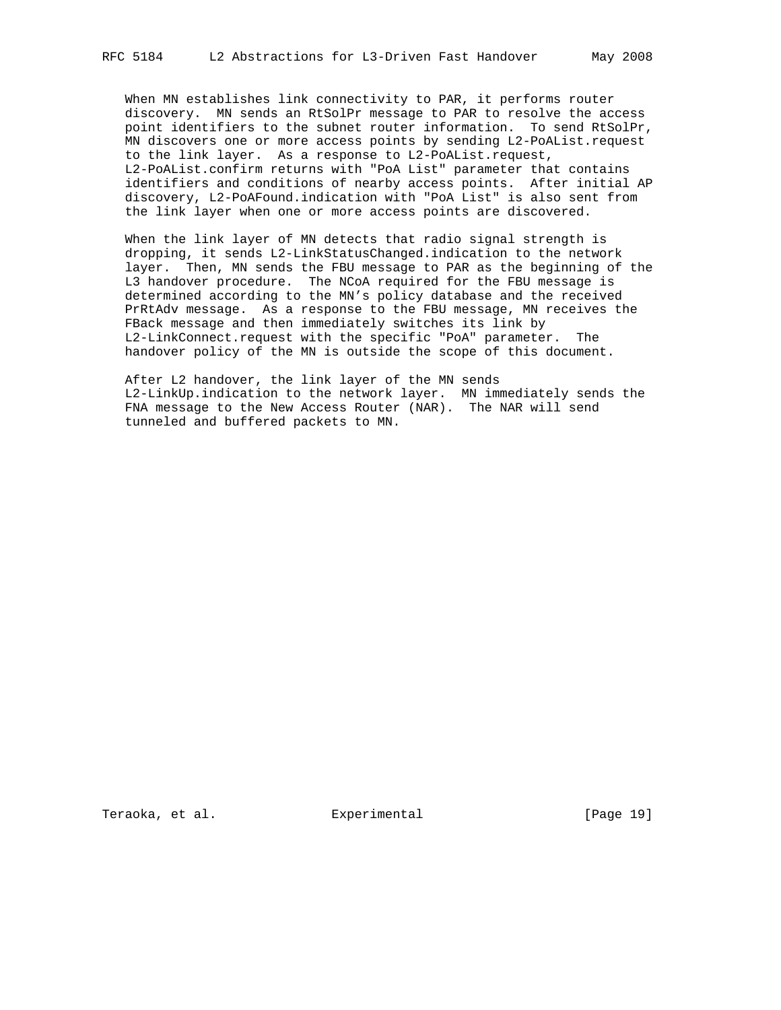When MN establishes link connectivity to PAR, it performs router discovery. MN sends an RtSolPr message to PAR to resolve the access point identifiers to the subnet router information. To send RtSolPr, MN discovers one or more access points by sending L2-PoAList.request to the link layer. As a response to L2-PoAList.request, L2-PoAList.confirm returns with "PoA List" parameter that contains identifiers and conditions of nearby access points. After initial AP discovery, L2-PoAFound.indication with "PoA List" is also sent from the link layer when one or more access points are discovered.

 When the link layer of MN detects that radio signal strength is dropping, it sends L2-LinkStatusChanged.indication to the network layer. Then, MN sends the FBU message to PAR as the beginning of the L3 handover procedure. The NCoA required for the FBU message is determined according to the MN's policy database and the received PrRtAdv message. As a response to the FBU message, MN receives the FBack message and then immediately switches its link by L2-LinkConnect.request with the specific "PoA" parameter. The handover policy of the MN is outside the scope of this document.

 After L2 handover, the link layer of the MN sends L2-LinkUp.indication to the network layer. MN immediately sends the FNA message to the New Access Router (NAR). The NAR will send tunneled and buffered packets to MN.

Teraoka, et al. Experimental [Page 19]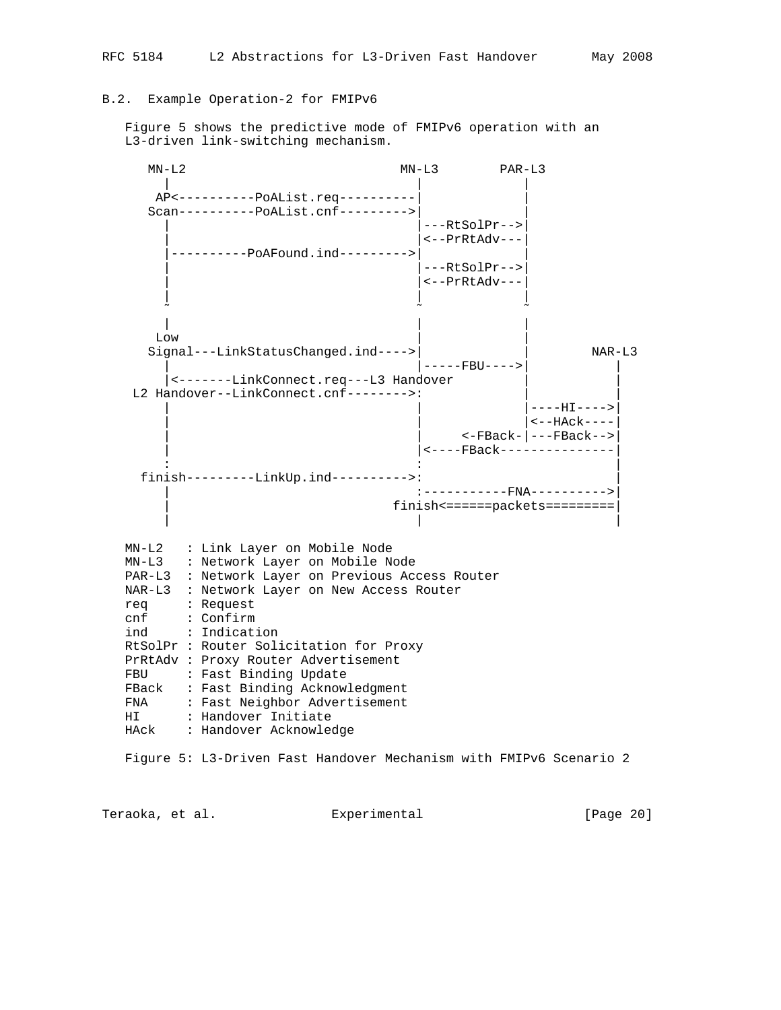## B.2. Example Operation-2 for FMIPv6

 Figure 5 shows the predictive mode of FMIPv6 operation with an L3-driven link-switching mechanism.



Teraoka, et al. Experimental [Page 20]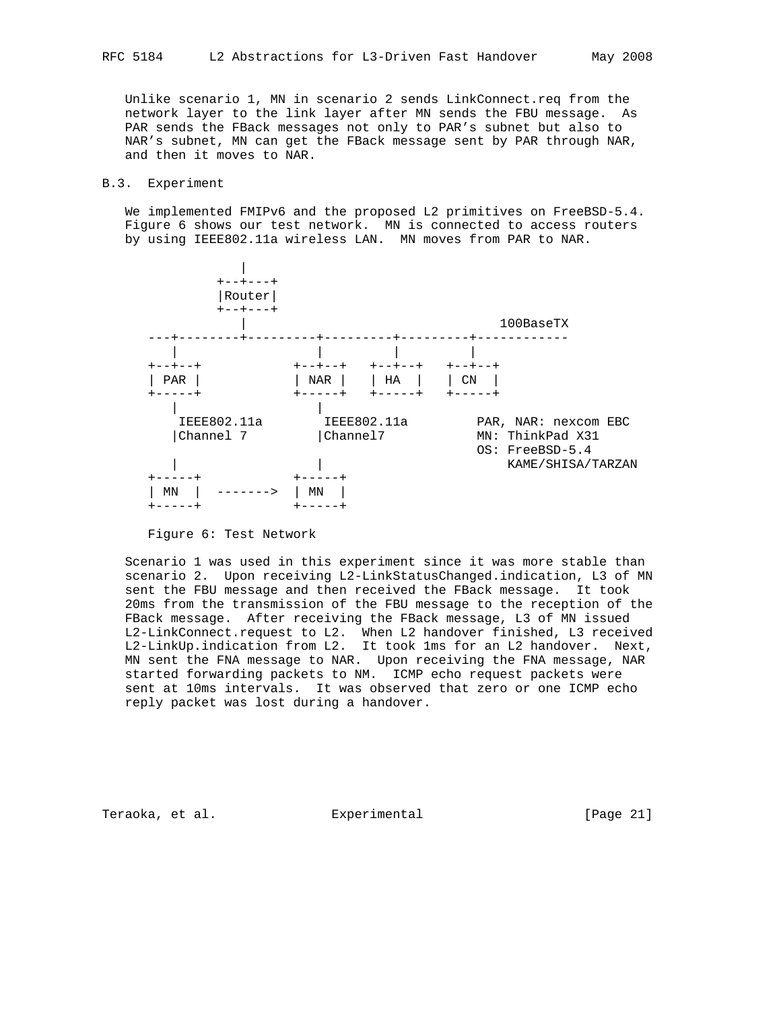Unlike scenario 1, MN in scenario 2 sends LinkConnect.req from the network layer to the link layer after MN sends the FBU message. As PAR sends the FBack messages not only to PAR's subnet but also to NAR's subnet, MN can get the FBack message sent by PAR through NAR, and then it moves to NAR.

#### B.3. Experiment

We implemented FMIPv6 and the proposed L2 primitives on FreeBSD-5.4. Figure 6 shows our test network. MN is connected to access routers by using IEEE802.11a wireless LAN. MN moves from PAR to NAR.



Figure 6: Test Network

 Scenario 1 was used in this experiment since it was more stable than scenario 2. Upon receiving L2-LinkStatusChanged.indication, L3 of MN sent the FBU message and then received the FBack message. It took 20ms from the transmission of the FBU message to the reception of the FBack message. After receiving the FBack message, L3 of MN issued L2-LinkConnect.request to L2. When L2 handover finished, L3 received L2-LinkUp.indication from L2. It took 1ms for an L2 handover. Next, MN sent the FNA message to NAR. Upon receiving the FNA message, NAR started forwarding packets to NM. ICMP echo request packets were sent at 10ms intervals. It was observed that zero or one ICMP echo reply packet was lost during a handover.

Teraoka, et al. Suite Experimental Experimental [Page 21]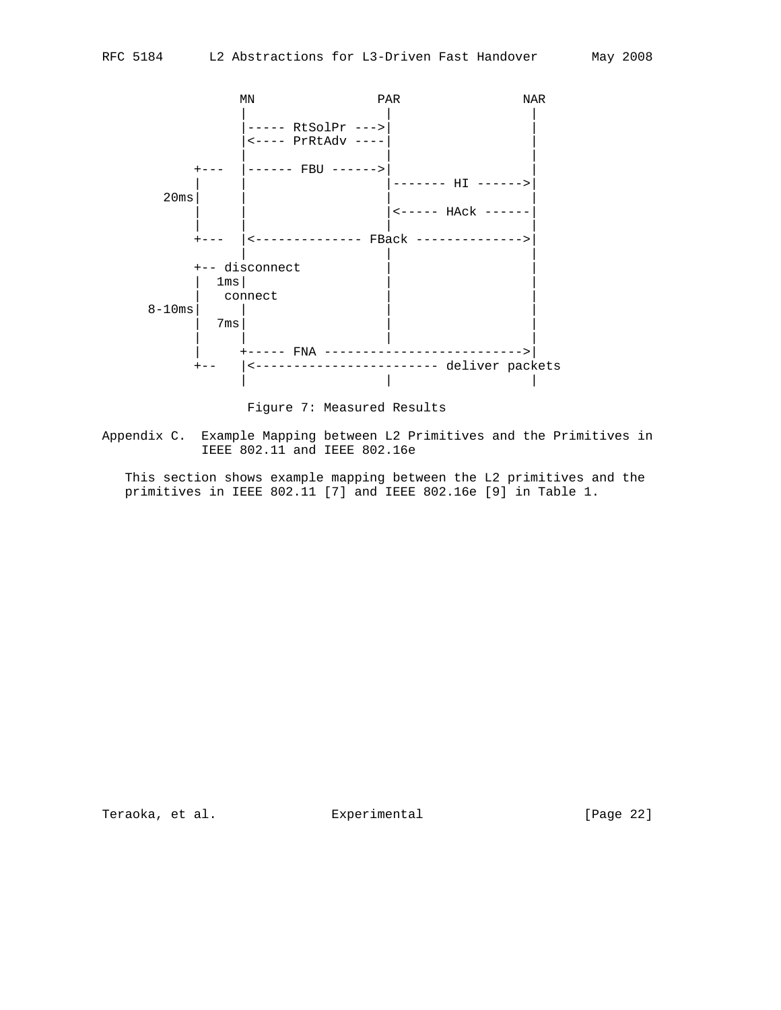

Figure 7: Measured Results

Appendix C. Example Mapping between L2 Primitives and the Primitives in IEEE 802.11 and IEEE 802.16e

 This section shows example mapping between the L2 primitives and the primitives in IEEE 802.11 [7] and IEEE 802.16e [9] in Table 1.

Teraoka, et al. **Experimental** [Page 22]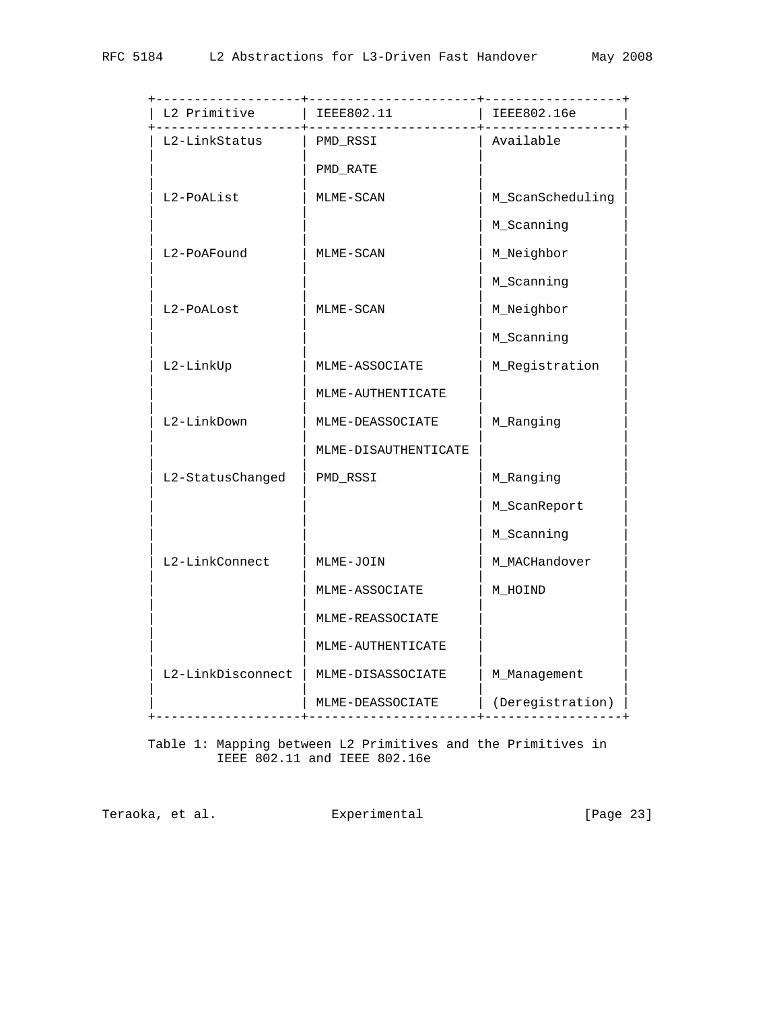| ----------------+         |                                   | -----------------+        |
|---------------------------|-----------------------------------|---------------------------|
| L2 Primitive   IEEE802.11 | . _ _ _ _ _ _ _ _ _ _ _ _ _ _ + _ | IEEE802.16e<br>---------+ |
| L2-LinkStatus             | PMD_RSSI                          | Available                 |
|                           | PMD_RATE                          |                           |
| L2-PoAList                | MLME-SCAN                         | M_ScanScheduling          |
|                           |                                   | M_Scanning                |
| L2-PoAFound               | MLME-SCAN                         | M_Neighbor                |
|                           |                                   | M_Scanning                |
| L2-PoALost                | MLME-SCAN                         | M_Neighbor                |
|                           |                                   | M_Scanning                |
| L2-LinkUp                 | MLME-ASSOCIATE                    | M_Registration            |
|                           | MLME-AUTHENTICATE                 |                           |
| L2-LinkDown               | MLME-DEASSOCIATE                  | M_Ranging                 |
|                           | MLME-DISAUTHENTICATE              |                           |
| L2-StatusChanged          | PMD_RSSI                          | M_Ranging                 |
|                           |                                   | M_ScanReport              |
|                           |                                   | M_Scanning                |
| L2-LinkConnect            | MLME-JOIN                         | M_MACHandover             |
|                           | MLME-ASSOCIATE                    | M HOIND                   |
|                           | MLME-REASSOCIATE                  |                           |
|                           | MLME-AUTHENTICATE                 |                           |
| L2-LinkDisconnect         | MLME-DISASSOCIATE                 | M_Management              |
| -------------+--          | MLME-DEASSOCIATE                  | (Deregistration)          |
|                           |                                   |                           |

 Table 1: Mapping between L2 Primitives and the Primitives in IEEE 802.11 and IEEE 802.16e

Teraoka, et al. **Experimental** [Page 23]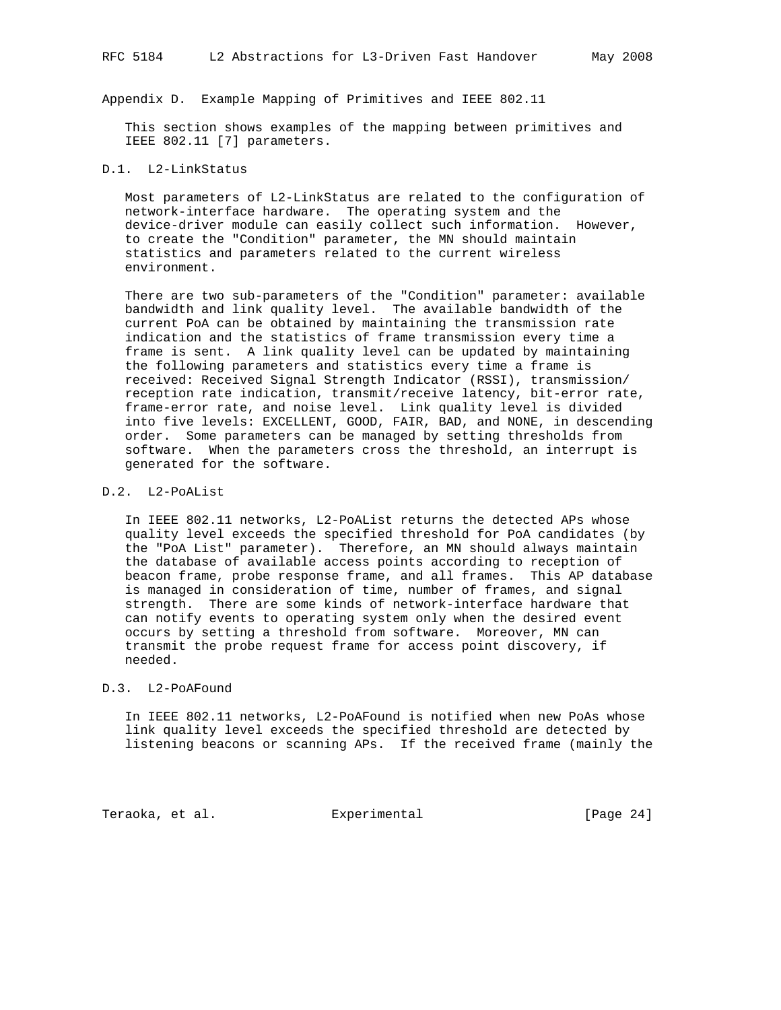Appendix D. Example Mapping of Primitives and IEEE 802.11

 This section shows examples of the mapping between primitives and IEEE 802.11 [7] parameters.

#### D.1. L2-LinkStatus

 Most parameters of L2-LinkStatus are related to the configuration of network-interface hardware. The operating system and the device-driver module can easily collect such information. However, to create the "Condition" parameter, the MN should maintain statistics and parameters related to the current wireless environment.

 There are two sub-parameters of the "Condition" parameter: available bandwidth and link quality level. The available bandwidth of the current PoA can be obtained by maintaining the transmission rate indication and the statistics of frame transmission every time a frame is sent. A link quality level can be updated by maintaining the following parameters and statistics every time a frame is received: Received Signal Strength Indicator (RSSI), transmission/ reception rate indication, transmit/receive latency, bit-error rate, frame-error rate, and noise level. Link quality level is divided into five levels: EXCELLENT, GOOD, FAIR, BAD, and NONE, in descending order. Some parameters can be managed by setting thresholds from software. When the parameters cross the threshold, an interrupt is generated for the software.

# D.2. L2-PoAList

 In IEEE 802.11 networks, L2-PoAList returns the detected APs whose quality level exceeds the specified threshold for PoA candidates (by the "PoA List" parameter). Therefore, an MN should always maintain the database of available access points according to reception of beacon frame, probe response frame, and all frames. This AP database is managed in consideration of time, number of frames, and signal strength. There are some kinds of network-interface hardware that can notify events to operating system only when the desired event occurs by setting a threshold from software. Moreover, MN can transmit the probe request frame for access point discovery, if needed.

#### D.3. L2-PoAFound

 In IEEE 802.11 networks, L2-PoAFound is notified when new PoAs whose link quality level exceeds the specified threshold are detected by listening beacons or scanning APs. If the received frame (mainly the

Teraoka, et al. Subsectimental Experimental [Page 24]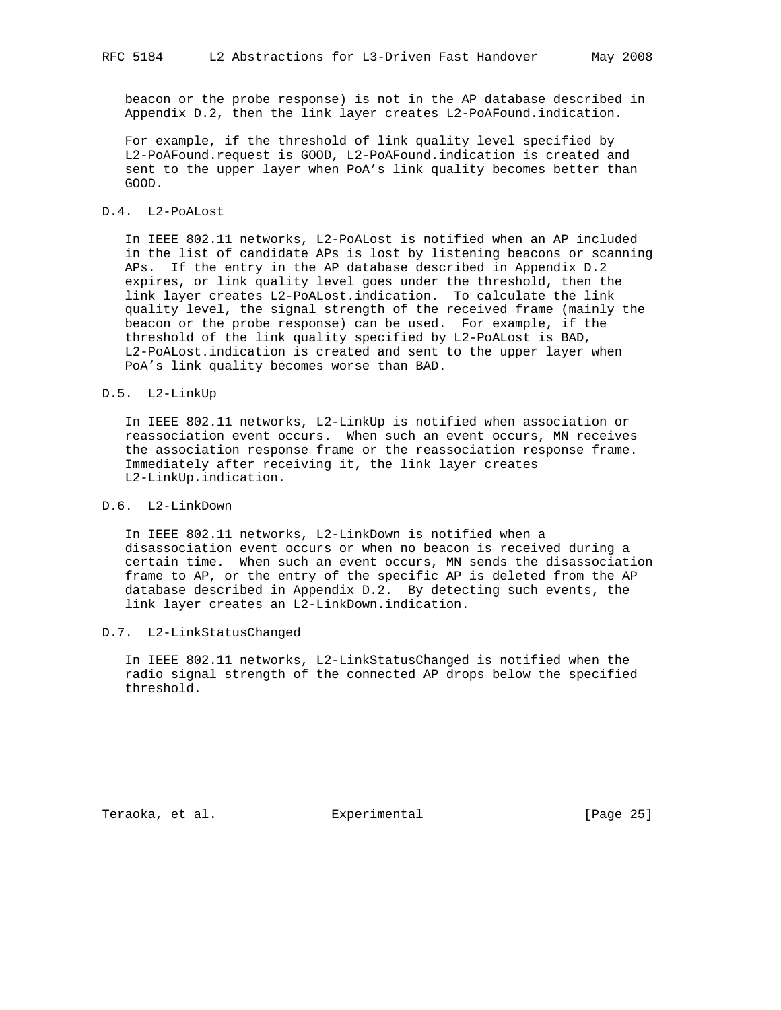beacon or the probe response) is not in the AP database described in Appendix D.2, then the link layer creates L2-PoAFound.indication.

 For example, if the threshold of link quality level specified by L2-PoAFound.request is GOOD, L2-PoAFound.indication is created and sent to the upper layer when PoA's link quality becomes better than GOOD.

#### D.4. L2-PoALost

 In IEEE 802.11 networks, L2-PoALost is notified when an AP included in the list of candidate APs is lost by listening beacons or scanning APs. If the entry in the AP database described in Appendix D.2 expires, or link quality level goes under the threshold, then the link layer creates L2-PoALost.indication. To calculate the link quality level, the signal strength of the received frame (mainly the beacon or the probe response) can be used. For example, if the threshold of the link quality specified by L2-PoALost is BAD, L2-PoALost.indication is created and sent to the upper layer when PoA's link quality becomes worse than BAD.

#### D.5. L2-LinkUp

 In IEEE 802.11 networks, L2-LinkUp is notified when association or reassociation event occurs. When such an event occurs, MN receives the association response frame or the reassociation response frame. Immediately after receiving it, the link layer creates L2-LinkUp.indication.

# D.6. L2-LinkDown

 In IEEE 802.11 networks, L2-LinkDown is notified when a disassociation event occurs or when no beacon is received during a certain time. When such an event occurs, MN sends the disassociation frame to AP, or the entry of the specific AP is deleted from the AP database described in Appendix D.2. By detecting such events, the link layer creates an L2-LinkDown.indication.

## D.7. L2-LinkStatusChanged

 In IEEE 802.11 networks, L2-LinkStatusChanged is notified when the radio signal strength of the connected AP drops below the specified threshold.

Teraoka, et al. Suite Experimental Experimental [Page 25]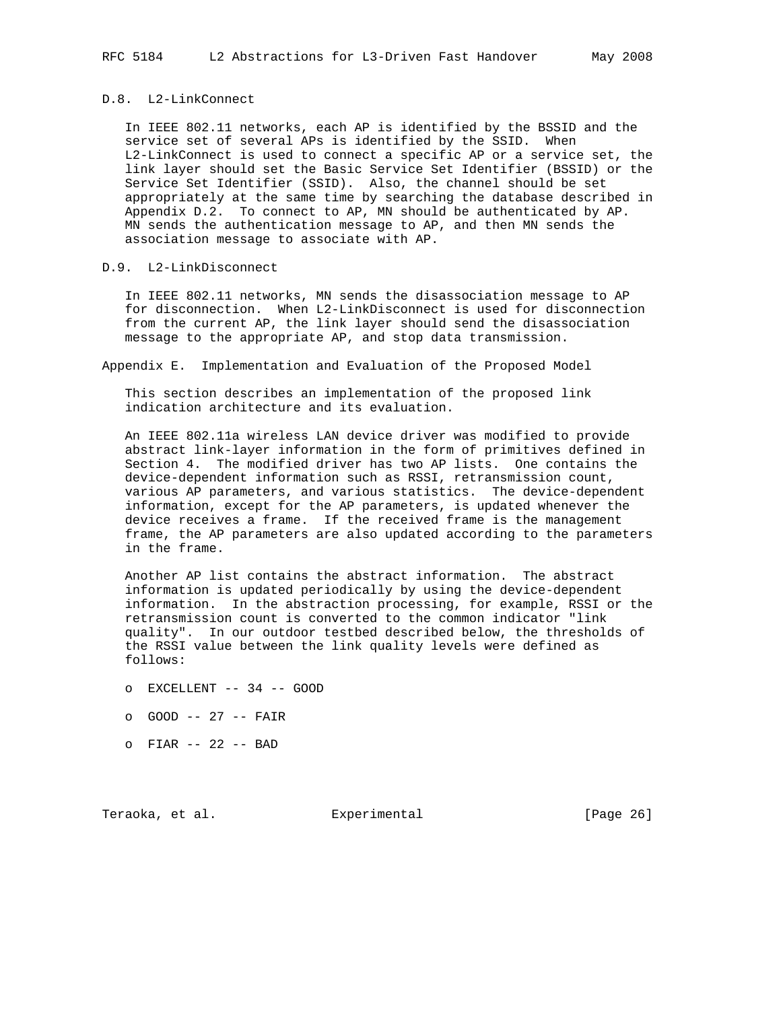#### D.8. L2-LinkConnect

 In IEEE 802.11 networks, each AP is identified by the BSSID and the service set of several APs is identified by the SSID. When L2-LinkConnect is used to connect a specific AP or a service set, the link layer should set the Basic Service Set Identifier (BSSID) or the Service Set Identifier (SSID). Also, the channel should be set appropriately at the same time by searching the database described in Appendix D.2. To connect to AP, MN should be authenticated by AP. MN sends the authentication message to AP, and then MN sends the association message to associate with AP.

# D.9. L2-LinkDisconnect

 In IEEE 802.11 networks, MN sends the disassociation message to AP for disconnection. When L2-LinkDisconnect is used for disconnection from the current AP, the link layer should send the disassociation message to the appropriate AP, and stop data transmission.

Appendix E. Implementation and Evaluation of the Proposed Model

 This section describes an implementation of the proposed link indication architecture and its evaluation.

 An IEEE 802.11a wireless LAN device driver was modified to provide abstract link-layer information in the form of primitives defined in Section 4. The modified driver has two AP lists. One contains the device-dependent information such as RSSI, retransmission count, various AP parameters, and various statistics. The device-dependent information, except for the AP parameters, is updated whenever the device receives a frame. If the received frame is the management frame, the AP parameters are also updated according to the parameters in the frame.

 Another AP list contains the abstract information. The abstract information is updated periodically by using the device-dependent information. In the abstraction processing, for example, RSSI or the retransmission count is converted to the common indicator "link quality". In our outdoor testbed described below, the thresholds of the RSSI value between the link quality levels were defined as follows:

- o EXCELLENT -- 34 -- GOOD
- o GOOD -- 27 -- FAIR
- o FIAR -- 22 -- BAD

Teraoka, et al. Experimental [Page 26]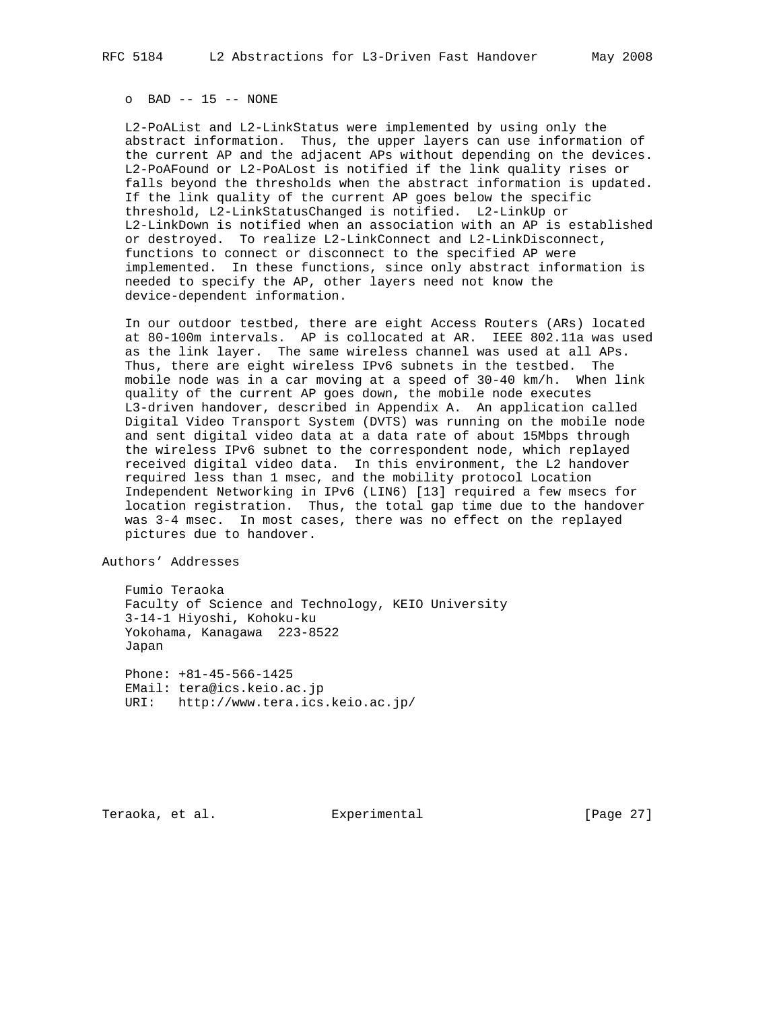#### o BAD -- 15 -- NONE

 L2-PoAList and L2-LinkStatus were implemented by using only the abstract information. Thus, the upper layers can use information of the current AP and the adjacent APs without depending on the devices. L2-PoAFound or L2-PoALost is notified if the link quality rises or falls beyond the thresholds when the abstract information is updated. If the link quality of the current AP goes below the specific threshold, L2-LinkStatusChanged is notified. L2-LinkUp or L2-LinkDown is notified when an association with an AP is established or destroyed. To realize L2-LinkConnect and L2-LinkDisconnect, functions to connect or disconnect to the specified AP were implemented. In these functions, since only abstract information is needed to specify the AP, other layers need not know the device-dependent information.

 In our outdoor testbed, there are eight Access Routers (ARs) located at 80-100m intervals. AP is collocated at AR. IEEE 802.11a was used as the link layer. The same wireless channel was used at all APs. Thus, there are eight wireless IPv6 subnets in the testbed. The mobile node was in a car moving at a speed of 30-40 km/h. When link quality of the current AP goes down, the mobile node executes L3-driven handover, described in Appendix A. An application called Digital Video Transport System (DVTS) was running on the mobile node and sent digital video data at a data rate of about 15Mbps through the wireless IPv6 subnet to the correspondent node, which replayed received digital video data. In this environment, the L2 handover required less than 1 msec, and the mobility protocol Location Independent Networking in IPv6 (LIN6) [13] required a few msecs for location registration. Thus, the total gap time due to the handover was 3-4 msec. In most cases, there was no effect on the replayed pictures due to handover.

Authors' Addresses

 Fumio Teraoka Faculty of Science and Technology, KEIO University 3-14-1 Hiyoshi, Kohoku-ku Yokohama, Kanagawa 223-8522 Japan

 Phone: +81-45-566-1425 EMail: tera@ics.keio.ac.jp URI: http://www.tera.ics.keio.ac.jp/

Teraoka, et al. Experimental [Page 27]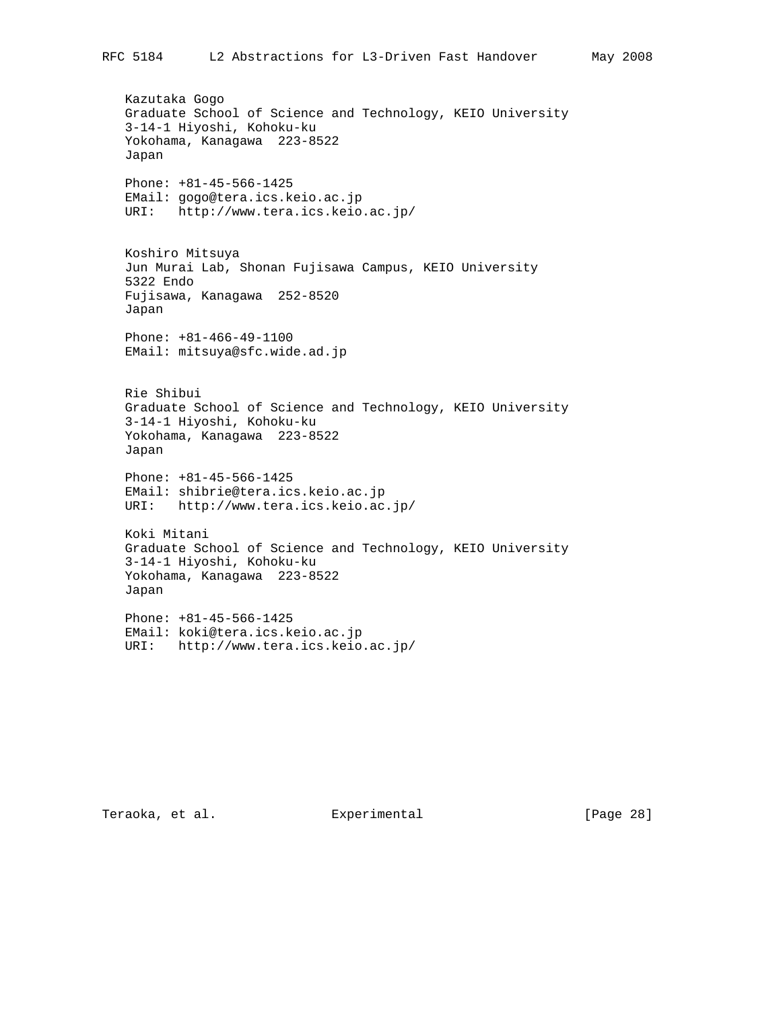Kazutaka Gogo Graduate School of Science and Technology, KEIO University 3-14-1 Hiyoshi, Kohoku-ku Yokohama, Kanagawa 223-8522 Japan Phone: +81-45-566-1425 EMail: gogo@tera.ics.keio.ac.jp URI: http://www.tera.ics.keio.ac.jp/ Koshiro Mitsuya Jun Murai Lab, Shonan Fujisawa Campus, KEIO University 5322 Endo Fujisawa, Kanagawa 252-8520 Japan Phone: +81-466-49-1100 EMail: mitsuya@sfc.wide.ad.jp Rie Shibui Graduate School of Science and Technology, KEIO University 3-14-1 Hiyoshi, Kohoku-ku Yokohama, Kanagawa 223-8522 Japan Phone: +81-45-566-1425 EMail: shibrie@tera.ics.keio.ac.jp URI: http://www.tera.ics.keio.ac.jp/ Koki Mitani Graduate School of Science and Technology, KEIO University 3-14-1 Hiyoshi, Kohoku-ku Yokohama, Kanagawa 223-8522 Japan Phone: +81-45-566-1425 EMail: koki@tera.ics.keio.ac.jp URI: http://www.tera.ics.keio.ac.jp/

Teraoka, et al. Superimental Experimental [Page 28]